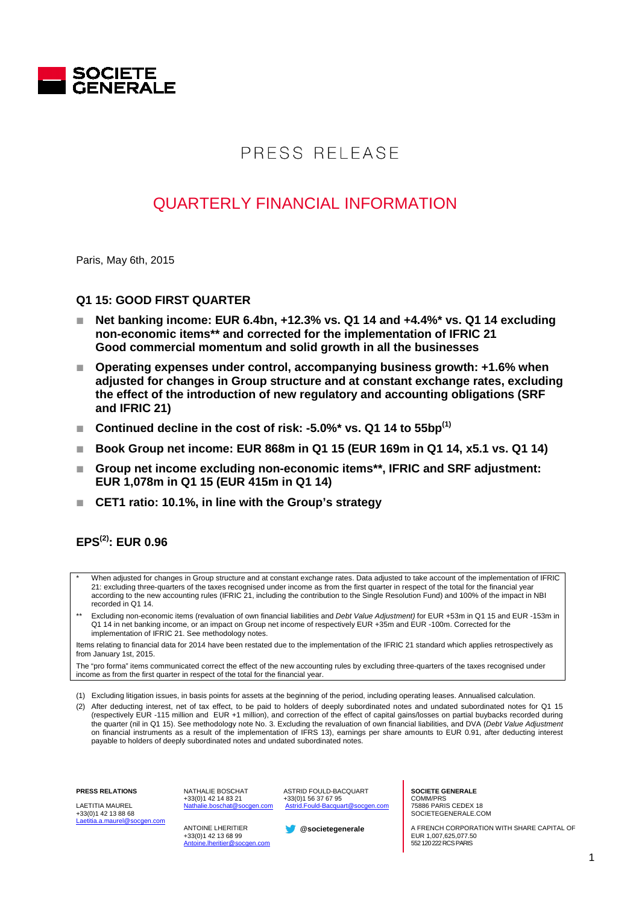

# PRESS RELEASE

## QUARTERLY FINANCIAL INFORMATION

Paris, May 6th, 2015

#### **Q1 15: GOOD FIRST QUARTER**

- Net banking income: EUR 6.4bn, +12.3% vs. Q1 14 and +4.4%<sup>\*</sup> vs. Q1 14 excluding **non-economic items\*\* and corrected for the implementation of IFRIC 21 21 Good commercial momentum and solid growth in all the businesses**
- **n** Operating expenses under control, accompanying business growth: +1.6% when adjusted for changes in Group structure and at constant exchange rates, excluding **the effect of the introduction of new regulatory and accounting obligations obligations (SRF and IFRIC 21)**
- Continued decline in the cost of risk: -5.0%\* vs. Q1 14 to 55bp<sup>(1)</sup>
- Book Group net income: EUR 868m in Q1 15 (EUR 169m in Q1 14, x5.1 vs. Q1 14)
- Group net income excluding non-economic items<sup>\*\*</sup>, IFRIC and SRF adjustment: **EUR 1,078m in Q1 15 (EUR m 415m in Q1 14)**
- CET1 ratio: 10.1%, in line with the Group's strategy

### **EPS(2): EUR 0.96**

- \* When adjusted for changes in Group structure and at constant exchange rates. Data adjusted to take account of the implementation of IFRIC 21: excluding three-quarters of the taxes recognised under income as from the first quarter in respect of the total for the financial year according to the new accounting rules (IFRIC 21, including the contribution to the Single Resolution Fund) and 100% of the impact in NBI recorded in Q1 14.
- \*\* Excluding non-economic items (revaluation of own financial liabilities and Debt Value Adjustment) for EUR +53m in Q1 15 and EUR -153m in Q1 14 in net banking income, or an impact on Group net income of respectively EUR +35m and EUR -100m. Corrected for the implementation of IFRIC 21. See methodology notes.

ltems relating to financial data for 2014 have been restated due to the implementation of the IFRIC 21 standard which applies retrospectively as from January 1st, 2015.

The "pro forma" items communicated correct the effect of the new accounting rules by excluding three-quarters of the taxes recognised under income as from the first quarter in respect of the total for the financial year. The "pro forma" items communicated correct the effect of the new accounting rules by excluding three-quarters of the taxes recognised under<br>income as from the first quarter in respect of the total for the financial year.<br>(

- (1) Excluding litigation issues, in basis points for assets at the beginning of the period, including operating leases. Annualised calculation.
- (respectively EUR -115 million and EUR +1 million), and correction of the effect of capital gains/losses on partial buybacks recorded during the quarter (nil in Q1 15). See methodology note No. 3. Excluding the revaluation of own financial liabilities, and DVA ( on financial instruments as a result of the implementation of IFRS 13), earnings per share amounts to EUR payable to holders of deeply subordinated notes and undated subordinated notes ). See methodology note No. 3. Excluding the revaluation of own financial liabilities, and DVA (*Debt Value Adjustment*<br>; as a result of the implementation of IFRS 13), earnings per share amounts to EUR 0.91, after deducti 0.91, after deducting interest

#### **PRESS RELATIONS**

LAETITIA MAUREL +33(0)1 42 13 88 68 Laetitia.a.maurel@socgen.com NATHALIE BOSCHAT +33(0)1 42 14 83 21 Nathalie.boschat@socgen.com Nathalie.boschat@socgen.com LIE BOSCHAT<br>42 14 83 21<br><u>.boschat@socgen.com</u><br>VE LHERITIER<br>42 13 68 99<br>.lheritier@soc<u>gen.com</u>

ANTOINE LHERITIER +33(0)1 42 13 68 99 a.lheritier@socgen.com ASTRID FOULD-BACQUART +33(0)1 56 37 67 95 Astrid.Fould-Bacquart@

 **@societegenerale** 

**SOCIETE GENERALE** COMM/PRS 75886 PARIS CEDEX 18 SOCIETEGENERALE COM

A FRENCH CORPORATION WITH SHARE CAPITAL OF EUR 1,007,625,077.50<br>552 120 222 RCS PARIS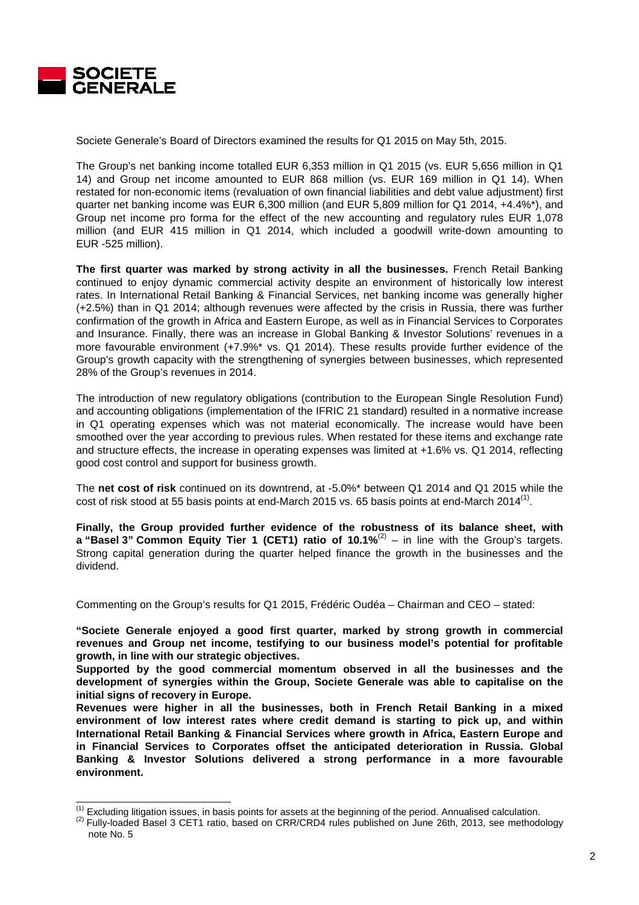

 $\overline{a}$ 

l

Societe Generale's Board of Directors examined the results for Q1 2015 on May 5th, 2015.

The Group's net banking income totalled EUR 6,353 million in Q1 2015 (vs. EUR 5,656 million in Q1 14) and Group net income amounted to EUR 868 million (vs. EUR 169 million in Q1 14). When restated for non-economic items (revaluation of own financial liabilities and debt value adjustment) first quarter net banking income was EUR 6,300 million (and EUR 5,809 million for Q1 Q1 2014, +4.4%\*), and Group net income pro forma for the effect of the new accounting and regulatory rules EUR EUR 1,078 million (and EUR 415 million in Q1 2014, which included a goodwill write-down amounting to EUR -525 million).

**The first quarter was marked by strong activity in all the businesses.** French Retail Banking continued to enjoy dynamic commercial activity despite an environment of historically low interest rates. In International Retail Banking & Financial Services, net banking income was generally higher (+2.5%) than in Q1 2014; although revenues were affected by the crisis in Russi Russia, there was further confirmation of the growth in Africa and Eastern Europe, as well as in Financial Services to Corporates and Insurance. Finally, there was an increase in Global Banking & Investor Solutions' revenues in a more favourable environment (+7.9%\* vs. Q1 2014). These results provide further evidence of the Group's growth capacity with the strengthening of synergies between businesses, which represented 28% of the Group's revenues in 2014.

The introduction of new regulatory obligations (contribution to the European Single Resolution Fund) and accounting obligations (implementation of the IFRIC 21 standard) resulted in a normative increase in Q1 operating expenses which was not material economically. The increase would have been in Q1 operating expenses which was not material economically. The increase would have been<br>smoothed over the year according to previous rules. When restated for these items and exchange rate and structure effects, the increase in operating expenses was limited at +1.6% vs. Q1 Q1 2014, reflecting good cost control and support for business growth.

The net cost of risk continued on its downtrend, at -5.0%\* between Q1 2014 and Q1 2015 while the The **net cost of risk** continued on its downtrend, at -5.0%\* between Q1 2014 and Q1 2015 whi<br>cost of risk stood at 55 basis points at end-March 2015 vs. 65 basis points at end-March 2014<sup>(1)</sup>.

**Finally, the Group provided further evidence of the robustness of its balance sheet sheet, with a "Basel 3" Common Equity Tier 1 (CET1) ratio of 10.1%<sup>(2)</sup> – in line with the Group's targets.** Strong capital generation during the quarter helped finance the growth in the businesses and the dividend.

Commenting on the Group's results for Q1 2015, Frédéric Oudéa – Chairman and CEO – stated:

**"Societe Generale enjoyed a good first quarter, marked by strong growth in commercial revenues and Group net income, testifying to our business model's potential for profitable growth, in line with our strategic objectives.**  Societe Generale enjoyed a good first quarter, marked by strong growth in commercial<br>evenues and Group net income, testifying to our business model's potential for profitable<br>rowth, in line with our strategic objectives.<br>i

Supported by the good commercial momentum observed in all the businesses and the development of synergies within the Group, Societe Generale was able to capitalise on the **initial signs of recovery in Europe. Europe.** 

**Revenues were higher in all the businesses, both in French Retail Banking Banking in a mixed environment of low interest rates where credit demand is starting to pick up up, and within International Retail Banking & Financial Services where growth in Africa, Eastern Europe and**  in Financial Services to Corporates offset the anticipated deterioration in Russia. Global **Banking & Investor Solutions delivered a strong performance in a more favourable environment.** 

 $\frac{1}{10}$  Excluding litigation issues, in basis points for assets at the beginning of the period. Annualised calculation.

<sup>&</sup>lt;sup>(1)</sup> Excluding litigation issues, in basis points for assets at the beginning of the period. Annualised calculation.<br><sup>(2)</sup> Fully-loaded Basel 3 CET1 ratio, based on CRR/CRD4 rules published on June 26th, 2013, see methodo note No. 5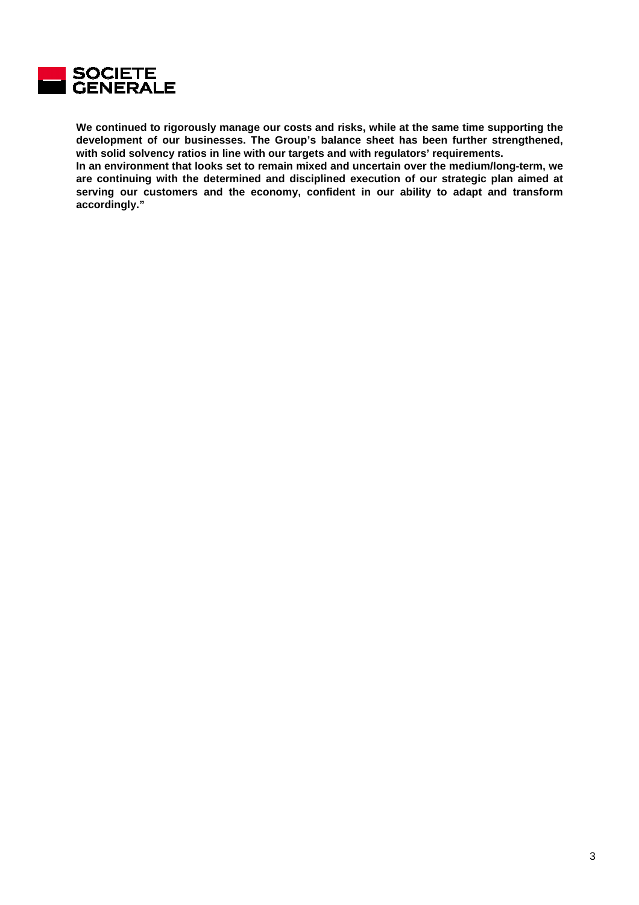

**We continued to rigorously manage our costs and risks risks, while at the same time supporting the development of our businesses businesses. The Group's balance sheet has been further strengthened, with solid solvency ratios in line with our targets and with regulators' requirements.** , while at the same time supporting the<br>sheet has been further strengthened,<br>th regulators' requirements.<br>ncertain over the medium/long-term, we

**In an environment that looks set to remain mixed and uncertain over the medium/long** are continuing with the determined and disciplined execution of our strategic plan aimed at serving our customers and the economy, confident in our ability to adapt and transform **accordingly."**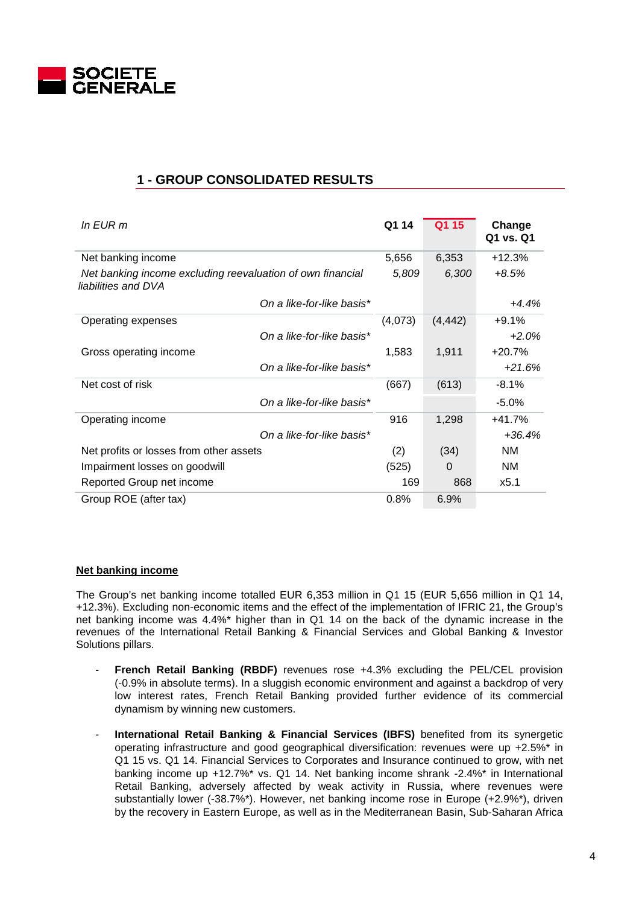

## **1 - GROUP CONSOLIDATED R RESULTS**

| In EUR m                                                                          |                           | Q1 14   | Q1 15    | Change<br>Q1 vs. Q1 |
|-----------------------------------------------------------------------------------|---------------------------|---------|----------|---------------------|
| Net banking income                                                                |                           | 5,656   | 6,353    | +12.3%              |
| Net banking income excluding reevaluation of own financial<br>liabilities and DVA |                           | 5,809   | 6,300    | $+8.5%$             |
|                                                                                   | On a like-for-like basis* |         |          | +4.4%               |
| Operating expenses                                                                |                           | (4,073) | (4, 442) | $+9.1%$             |
|                                                                                   | On a like-for-like basis* |         |          | $+2.0%$             |
| Gross operating income                                                            |                           | 1,583   | 1,911    | $+20.7%$            |
|                                                                                   | On a like-for-like basis* |         |          | $+21.6%$            |
| Net cost of risk                                                                  |                           | (667)   | (613)    | $-8.1%$             |
|                                                                                   | On a like-for-like basis* |         |          | $-5.0\%$            |
| Operating income                                                                  |                           | 916     | 1,298    | +41.7%              |
|                                                                                   | On a like-for-like basis* |         |          | $+36.4%$            |
| Net profits or losses from other assets                                           |                           | (2)     | (34)     | <b>NM</b>           |
| Impairment losses on goodwill                                                     |                           | (525)   | 0        | <b>NM</b>           |
| Reported Group net income                                                         |                           | 169     | 868      | x5.1                |
| Group ROE (after tax)                                                             |                           | 0.8%    | 6.9%     |                     |

### **Net banking income**

The Group's net banking income totalled EUR 6,353 million in Q1 15 (EUR 5,656 million in Q1 14, +12.3%). Excluding non-economic items and the effect of the implementation of IFRIC 21, the Group's net banking income was 4.4%\* higher than in Q1 14 on the back of the dynamic increase in the revenues of the International Retail Banking & Financial Services and Global Banking & Investor Solutions pillars. g income was 4.4%\* higher than in Q1 14 on the back of the dynamic increa<br>f the International Retail Banking & Financial Services and Global Banking &<br>llars.<br>**nch Retail Banking (RBDF)** revenues rose +4.3% excluding the PE

- **French Retail Banking (RBDF)** revenues rose +4.3% excluding the PEL/CEL provision (-0.9% in absolute terms). In a sluggish economic environment and against a backdrop of very low interest rates, French Retail Banking provided further evidence of its commercial dynamism by winning new customers customers.
- International Retail Banking & Financial Services (IBFS) benefited from its synergetic operating infrastructure and good geographical diversification: revenues were up +2.5%\* in Q1 15 vs. Q1 14. Financial Services to Corporates and Insurance continued to gr grow, with net banking income up +12.7 12.7%\* vs. Q1 14. Net banking income shrank -2.4%\* 2.4%\* in International Retail Banking, adversely affected by weak activity in Russia, where revenues were Retail Banking, adversely affected by weak activity in Russia, where revenues were<br>substantially lower (-38.7%\*). However, net banking income rose in Europe (+2.9%\*), driven by the recovery in Eastern Europe, as well as in the Mediterranean Basin, Sub-Saharan Africa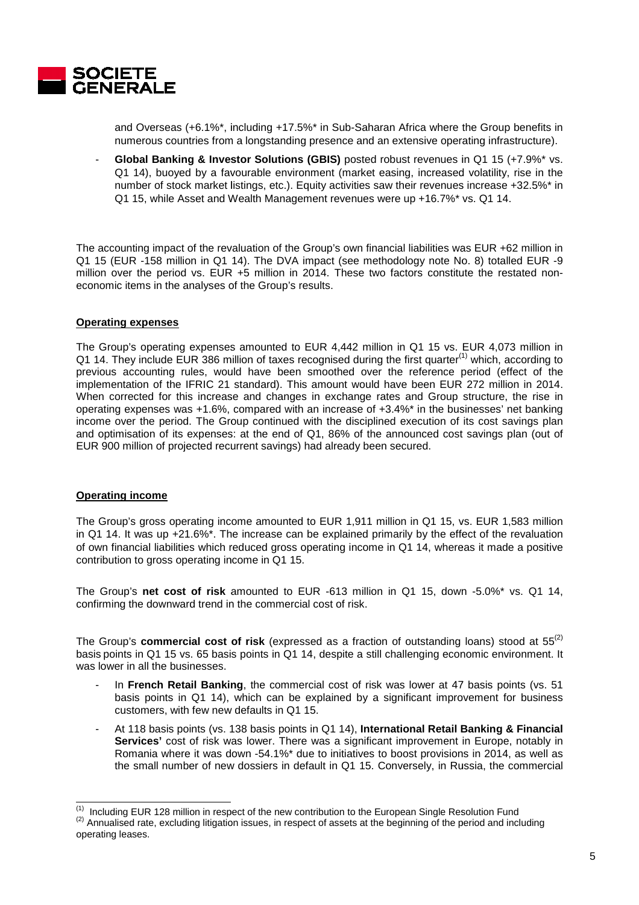

and Overseas (+6.1%\*, including +17.5%\* in Sub-Saharan Africa where the Group benefits in and Overseas (+6.1%\*, including +17.5%\* in Sub-Saharan Africa where the Group benefits ir<br>numerous countries from a longstanding presence and an extensive operating infrastructure).

**Global Banking & Investor Solutions (GBIS)** posted robust revenues in Q1 15 (+7.9%\* vs. Q1 14), buoyed by a favourable environment (market easing, increased volatility, rise in the number of stock market listings, etc.). Equity activities saw their revenues increase +32.5%\* in Q1 15, while Asset and Wealth Management revenues were up +16.7%\* vs. Q1 14.

The accounting impact of the revaluation of the Group's own financial liabilities was EUR +62 million in Q1 15 (EUR -158 million in Q1 14). The DVA impact (see methodology note No. 8) totalled EUR -9 million over the period vs. EUR +5 million in 2014. These two factors constitute the restated noneconomic items in the analyses of the Group's results.

#### **Operating expenses**

The Group's operating expenses amounted to EUR 4,442 million in Q1 15 vs. EUR 4,073 million in Q1 14. They include EUR 386 million of taxes recognised during the first quarter<sup>(1)</sup> which, according to previous accounting rules, would have been smoothed over the reference period period (effect of the implementation of the IFRIC 21 standard). This amount would have been EUR 272 million in 2014. When corrected for this increase and changes in exchange rates and Group structure, the rise in operating expenses was +1.6%, compared with an increase of +3.4%\* in the businesses' net banking income over the period. The Group continued with the disciplined execution of its cost savings plan and optimisation of its expenses: at the end of Q1, 86% of the announced cost savings plan (out of EUR 900 million of projected recurrent savings) had already been secured secured.

### **Operating income**

 $\overline{a}$ 

l

The Group's gross operating income amounted to EUR 1,911 million in Q1 15, vs. EUR 1,583 million in Q1 14. It was up +21.6%\*. The increase can be explained primarily by the effect of the revaluation of own financial liabilities which reduced gross operating income in Q1 14, whereas it made a positive contribution to gross operating income in Q1 15. of own financial liabilities which reduced gross operating income in Q1 14, whereas it made a positive<br>contribution to gross operating income in Q1 15.<br>The Group's **net cost of risk** amounted to EUR -613 million in Q1 15,

confirming the downward trend in the commercial cost of risk.

The Group's **commercial cost of risk** (expressed as a fraction of outstanding loans) stood at 55<sup>(2)</sup> basis points in Q1 15 vs. 65 basis points in Q1 14, despite a still challenging economic environment. It was lower in all the businesses.

- In French Retail Banking, the commercial cost of risk was lower at 47 basis points (vs. 51 basis points in Q1 14), which can be explained by a significant improvement for business customers, with few new defaults in Q1 15 15.
- At 118 basis points (vs. 138 basis points in Q1 14), **International Retail Banking & Financial**  Services' cost of risk was lower. There was a significant improvement in Europe, notably in Romania where it was down -54.1%\* due to initiatives to boost provisions in 2014, as well as the small number of new dossiers in default in Q1 15. Conversely, in Russia, the commercial

 $(1)$  Including EUR 128 million in respect of the new contribution to the European Single <sup>(2)</sup> Annualised rate, excluding litigation issues, in respect of assets at the beginning of the period and including operating leases. ncluding EUR 128 million in respect of the new contribution to the European Single Resolution Fund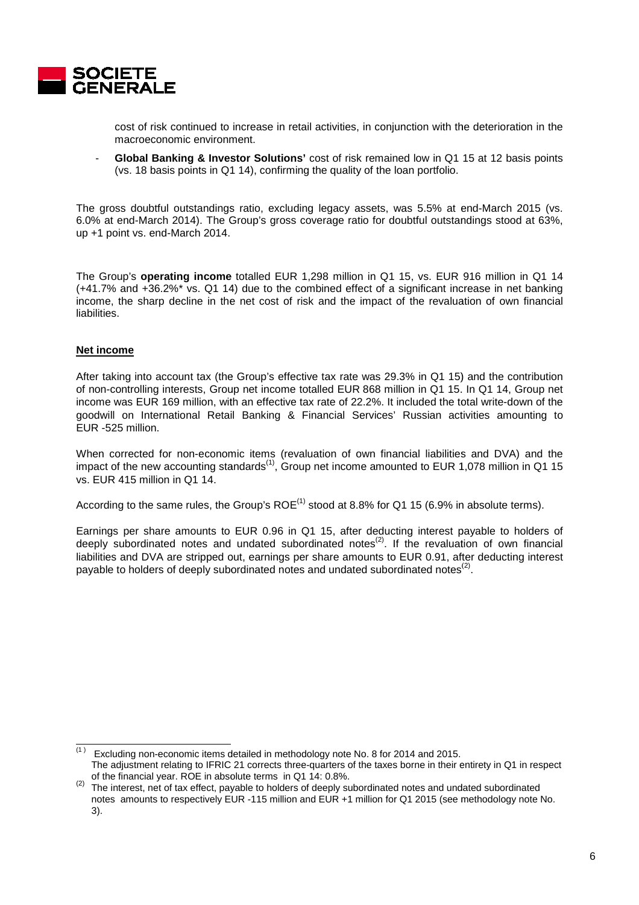

cost of risk continued to increase in retail activities, in conjunction with the deterioration in the macroeconomic environment.

- **Global Banking & Investor Solutions'** cost of risk remained low in Q1 15 at 12 basis points (vs. 18 basis points in Q1 14), confirming the quality of the loan portfolio.

The gross doubtful outstandings ratio, excluding legacy assets, was 5.5% at end-March 2015 (vs. 6.0% at end-March 2014). The Group's gross coverage ratio for doubtful outstandings stood at 63%, up +1 point vs. end-March 2014. 6.0% at end-March 2014). The Group's gross coverage ratio for doubtful outstandings stood at 63%,<br>up +1 point vs. end-March 2014.<br>The Group's **operating income** totalled EUR 1,298 million in Q1 15, vs. EUR 916 million in Q

(+41.7% and +36.2%\* vs. Q1 14) 14) due to the combined effect of a significant increase in net banking income, the sharp decline in the net cost of risk and the impact of the revaluation of own financial liabilities.

#### **Net income**

 $\overline{a}$ 

 $\overline{a}$ 

After taking into account tax (the Group's effective tax rate was 29.3% in Q1 15) and the contribution of non-controlling interests, Group net income totalled EUR 868 million in Q1 15. In Q1 14, Group net After taking into account tax (the Group's effective tax rate was 29.3% in Q1 15) and the contribution<br>of non-controlling interests, Group net income totalled EUR 868 million in Q1 15. In Q1 14, Group net<br>income was EUR 16 goodwill on International Retail Banking & Financial Services' Russian activities amounting to EUR -525 million.

When corrected for non-economic items (revaluation of own financial liabilities and DVA) and the When corrected for non-economic items (revaluation of own financial liabilities and DVA) and the<br>impact of the new accounting standards<sup>(1)</sup>, Group net income amounted to EUR 1,078 million in Q1 15 vs. EUR 415 million in Q1 14.

According to the same rules, the Group's  $\mathsf{ROE}^{(1)}$  stood at 8.8% for Q1 15 (6.9% in absolute terms).

Earnings per share amounts to EUR 0.96 in Q1 15, after deducting interest payable to holders of deeply subordinated notes and undated subordinated notes<sup>(2)</sup>. If the revaluation of own financial liabilities and DVA are stripped out, earnings per share amounts to EUR 0.91, after deducting interest payable to holders of deeply subordinated notes and undated subordinated notes<sup>(2)</sup> , after deducting interest payed notes<sup>(2)</sup>. If the revaluation<br>e amounts to EUR 0.91, after<br>indated subordinated notes<sup>(2)</sup>.

 $(1)$  Excluding non-economic items detailed in methodology note No. 8 for 2014 and 2015. Excluding non-economic items detailed in methodology note No. 8 for 2014 and 2015.<br>The adjustment relating to IFRIC 21 corrects three-quarters of the taxes borne in their entirety in Q1 in respect of the financial year. ROE in absolute terms in Q1 14: 0.8%.

 $(2)$  The interest, net of tax effect, payable to holders of deeply subordinated notes and undated subordinated notes amounts to respectively EUR -115 million and EUR +1 million for Q1 2015 (see methodology note No. 3).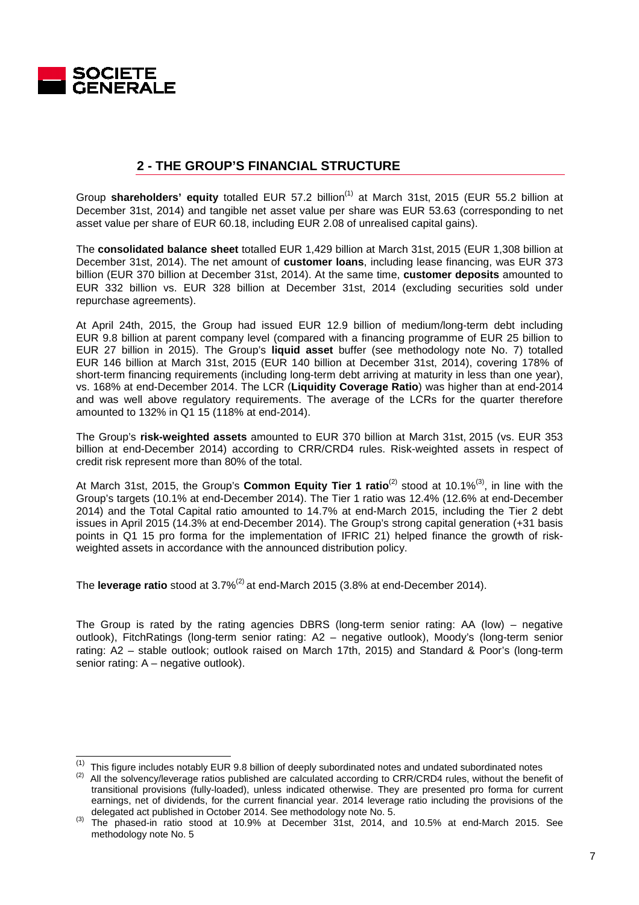

### **2 - THE GROUP'S FINANCIA FINANCIAL STRUCTURE**

Group shareholders' equity totalled EUR 57.2 billion<sup>(1)</sup> at March 31st, 2015 (EUR 55.2 billion at December 31st, 2014) and tangible net asset value per share was EUR 53.63 (corresponding to net asset value per share of EUR 60.18 60.18, including EUR 2.08 of unrealised capital gains gains).

The **consolidated balance sheet** totalled EUR 1,429 billion at March 31st, 2015 (EUR 1,308 billion at December 31st, 2014). The net amount of **customer loans**, including lease financing, was EUR 373 billion (EUR 370 billion at December 31st, 2014). At the same time, **customer deposits** amounted to EUR 332 billion vs. EUR 328 billion at December 31st, 2014 (excluding securities sold under repurchase agreements).

At April 24th, 2015, the Group had issued EUR 12.9 billion of medium/long-term debt including EUR 9.8 billion at parent company level (compared with a financing programme of EUR 25 billion to EUR 27 billion in 2015). The Group's liquid asset buffer (see methodology note No. 7) totalled EUR 146 billion at March 31st, 2015 (EUR 140 billion at December 31st, 2014), covering 178% of short-term financing requirements (including long-term debt arriving at maturity in less than one year), short-term financing requirements (including long-term debt arriving at maturity in less than one year),<br>vs. 168% at end-December 2014. The LCR (**Liquidity Coverage Ratio**) was higher than at end-2014 and was well above regulatory requirements. The average of the LCRs for the quarter therefore amounted to 132% in Q1 15 (118% at end-2014).

The Group's risk-weighted assets amounted to EUR 370 billion at March 31st, 2015 (vs. EUR 353 billion at end-December 2014) according to CRR/CRD4 rules. Risk-weighted assets in respect of credit risk represent more than 80% of the total. billion at end-December 2014) according to CRR/CRD4 rules. Risk-weighted assets in respect of<br>credit risk represent more than 80% of the total.<br>At March 31st, 2015, the Group's **Common Equity Tier 1 ratio**<sup>(2)</sup> stood at 10

Group's targets (10.1% at end-December 2014). The Tier 1 ratio was 12.4% (12.6% at end-December 2014) and the Total Capital ratio amounted to 14.7% at end-March 2015, including the Tier 2 debt issues in April 2015 (14.3% at end-December 2014). The Group's strong capital generation (+31 basis points in Q1 15 pro forma for the implementation of IFRIC 21) helped finance the growth of riskweighted assets in accordance with the announced distribution policy.

The leverage ratio stood at 3.7%<sup>(2)</sup> at end-March 2015 (3.8% at end-December 2014).

The Group is rated by the rating agencies DBRS (long-term senior rating: AA (low) – negative outlook), FitchRatings (long-term senior rating: A2 - negative outlook), Moody's (long-term senior rating: A2 – stable outlook; outlook raised on March 17th, 2015) and Standard & Poor's (long-term senior rating: A – negative outlook).

 $\overline{a}$ 

 (1) This figure includes notably EUR 9.8 billion of deeply subordinated notes and undated subordinated notes

 $(2)$  All the solvency/leverage ratios published are calculated according to CRR/CRD4 rules, without the benefit of transitional provisions (fully-loaded), unless indicated otherwise. They are presented pro forma for current earnings, net of dividends, for the current financial year. 2014 leverage ratio including the provisions of the delegated act published in October 2014. See methodology note No. 5.

 $^{(3)}$  The phased-in ratio stood at 10.9% at December 31st, 2014, and 10.5% at end-March 2015. See methodology note No. 5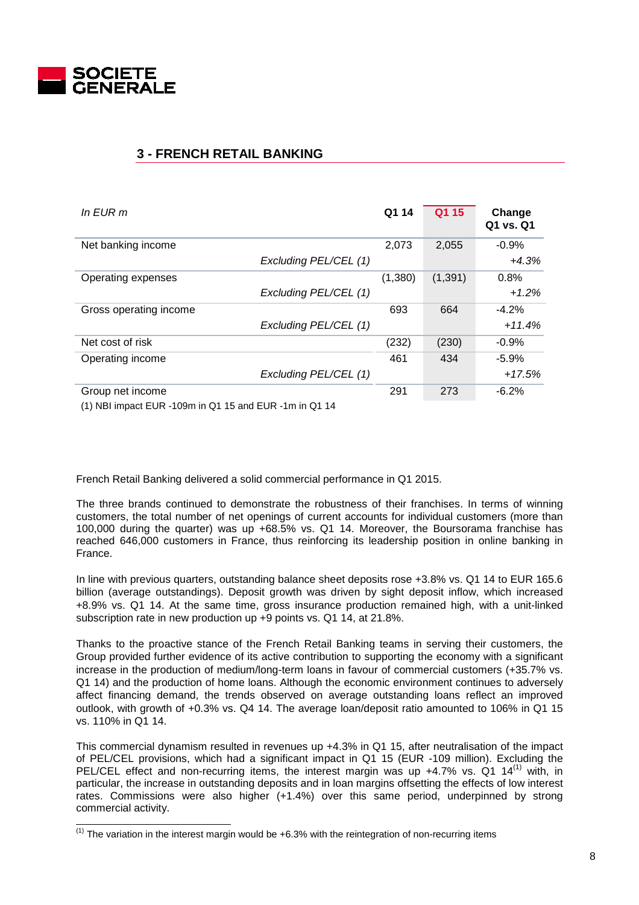

### **3 - FRENCH RETAIL BANKIN BANKING**

| In EUR m                                                                                                                                                                                                                                                                                                                                                                    | Q1 14                 | Q1 15    | Change<br>Q1 vs. Q1 |
|-----------------------------------------------------------------------------------------------------------------------------------------------------------------------------------------------------------------------------------------------------------------------------------------------------------------------------------------------------------------------------|-----------------------|----------|---------------------|
| Net banking income                                                                                                                                                                                                                                                                                                                                                          | 2,073                 | 2,055    | $-0.9%$             |
|                                                                                                                                                                                                                                                                                                                                                                             | Excluding PEL/CEL (1) |          | $+4.3%$             |
| Operating expenses                                                                                                                                                                                                                                                                                                                                                          | (1,380)               | (1, 391) | 0.8%                |
|                                                                                                                                                                                                                                                                                                                                                                             | Excluding PEL/CEL (1) |          | $+1.2%$             |
| Gross operating income                                                                                                                                                                                                                                                                                                                                                      | 693                   | 664      | $-4.2\%$            |
|                                                                                                                                                                                                                                                                                                                                                                             | Excluding PEL/CEL (1) |          | $+11.4%$            |
| Net cost of risk                                                                                                                                                                                                                                                                                                                                                            | (232)                 | (230)    | $-0.9%$             |
| Operating income                                                                                                                                                                                                                                                                                                                                                            | 461                   | 434      | $-5.9%$             |
|                                                                                                                                                                                                                                                                                                                                                                             | Excluding PEL/CEL (1) |          | $+17.5%$            |
| Group net income                                                                                                                                                                                                                                                                                                                                                            | 291                   | 273      | $-6.2\%$            |
| $\overline{A}$ NIDI $\overline{A}$ $\overline{A}$ $\overline{B}$ in $\overline{A}$ $\overline{A}$ $\overline{B}$ $\overline{A}$ $\overline{A}$ $\overline{B}$ $\overline{B}$ in $\overline{A}$ $\overline{A}$ $\overline{A}$ $\overline{A}$ $\overline{A}$ $\overline{A}$ $\overline{A}$ $\overline{A}$ $\overline{A}$ $\overline{A}$ $\overline{A}$ $\overline{A}$ $\over$ |                       |          |                     |

 $(1)$  NBI impact EUR -109m in Q1 15 and EUR -1m in Q1 14

French Retail Banking delivered a solid commercial performance in Q1 2015.

The three brands continued to demonstrate the robustness of their franchises. In terms of winning The three brands continued to demonstrate the robustness of their franchises. In terms of winning<br>customers, the total number of net openings of current accounts for individual customers (more than 100,000 during the quarter) was up +68.5% vs. Q1 14. Moreover, the Boursorama Boursorama franchise has reached 646,000 customers in France, thus reinforcing its leadership position in online banking banking in France.

In line with previous quarters, outstanding balance sheet deposits rose +3.8% vs. Q1 14 to EUR 165.6 billion (average outstandings). Deposit growth was driven by sight deposit inflow, which increased billion (average outstandings). Deposit growth was driven by sight deposit inflow, which increased<br>+8.9% vs. Q1 14. At the same time, gross insurance production remained high, with a unit-linked subscription rate in new production up +9 points vs. Q1 14, at 21.8%.

Thanks to the proactive stance of the French Retail Banking teams in serving their customers, the Group provided further evidence of its active contribution to supporting the economy with a significant increase in the production of medium/long-term loans in favour of commercial customers (+35.7% vs. Q1 14) and the production of home loans. Although the economic environment continues to adversely affect financing demand, the trends observed on average outstanding loans reflect an improved outlook, with growth of +0.3% vs. Q4 14. The average loan/deposit ratio amounted to 106% in Q1 15 vs. 110% in Q1 14. s e loan/deposit ratio amounted to 106% in Q1 15<br>e loan/deposit ratio amounted to 106% in Q1 15<br>-4.3% in Q1 15, after neutralisation of the impact<br>act in Q1 15 (EUR -109 million). Excluding the

This commercial dynamism resulted in revenues up +4.3% in Q1 15, after neutralisation of the impact of PEL/CEL provisions, which had a significant impact in Q1 15 (EUR -109 million) PEL/CEL effect and non-recurring items, the interest margin was up +4.7% vs. Q1 14<sup>(1)</sup> with, in particular, the increase in outstanding deposits and in loan margins offsetting the effects of low interest rates. Commissions were also higher (+1.4%) over this same period, underpinned by strong commercial activity.

l  $<sup>(1)</sup>$  The variation in the interest margin</sup> l would be +6.3% with the reintegration of non-recurring items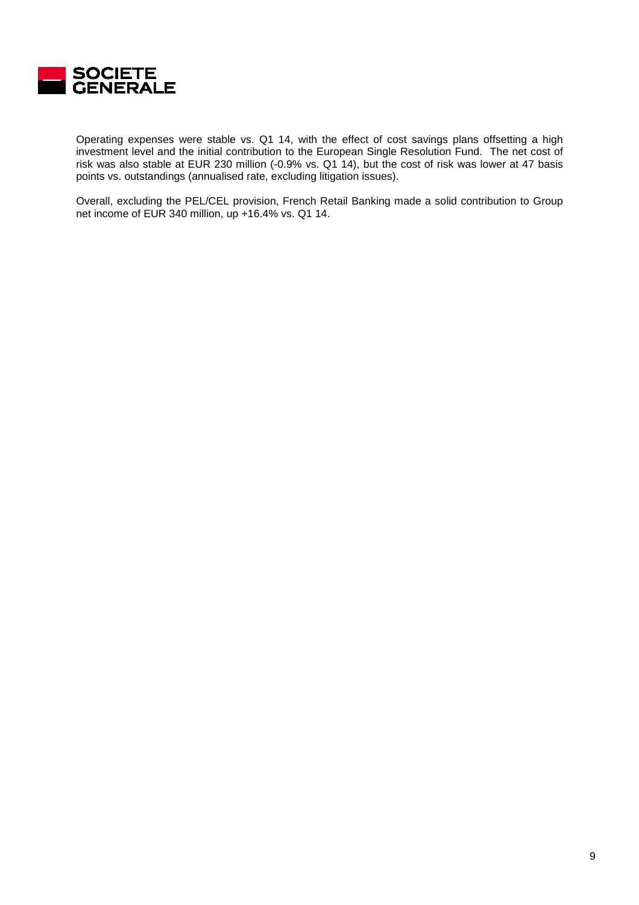

Operating expenses were stable vs. Q1 14, with the effect of cost savings plans offsetting a high investment level and the initial contribution to the European Single Resolution Fund. The net cost of risk was also stable at EUR 230 million (-0.9% vs. Q1 14), but the cost of risk was lower at 47 basis points vs. outstandings (annualised rate, excluding litigation issues). risk was also stable at EUR 230 million (-0.9% vs. Q1 14), but the cost of risk was lower at 47 basis<br>points vs. outstandings (annualised rate, excluding litigation issues).<br>Overall, excluding the PEL/CEL provision, French

net income of EUR 340 million, up +16.4% vs. Q1 14.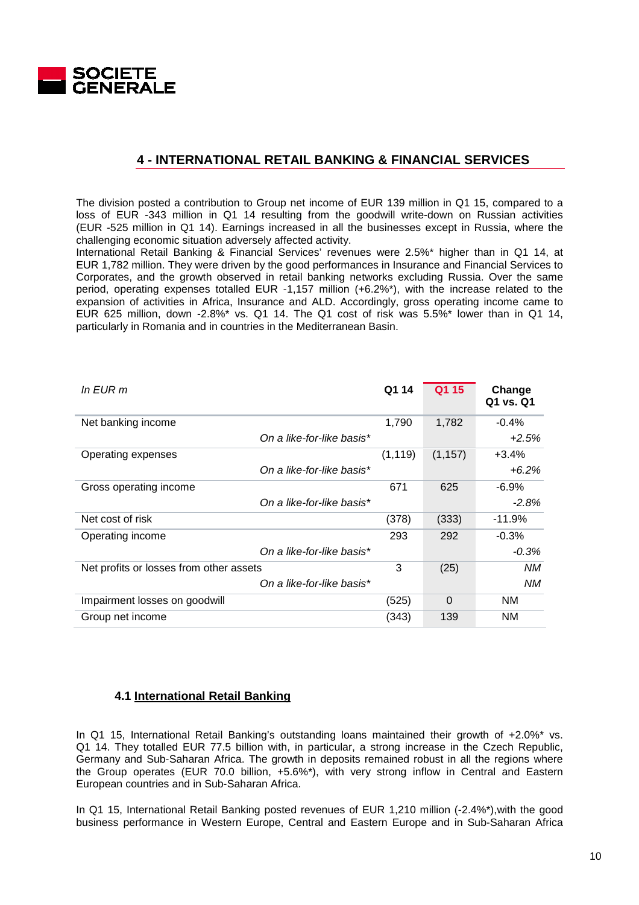

### **4 - INTERNATIONAL RETAIL BANKING & FINANCIAL SERVICES**

The division posted a contribution to Group net income of EUR 139 million in Q1 15, compared to a loss of EUR -343 million in Q1 14 resulting from the goodwill write-down on Russian activities (EUR -525 million in Q1 14). Earnings increased in all the businesses except in Russia, where the challenging economic situation adversely affected activity. (EUR -525 million in Q1 14). Earnings increased in all the businesses except in Russia, where the<br>challenging economic situation adversely affected activity.<br>International Retail Banking & Financial Services' revenues were

EUR 1,782 million. They were driven by the good performances in Insurance and Financial Services to Corporates, and the growth observed in retail banking networks excluding Russia. Over the same period, operating expenses totalled EUR -1,157 million (+6.2%\*), with the increase related to the expansion of activities in Africa, Insurance and ALD. Accordingly, gross operating income came to EUR 625 million, down -2.8%\* vs. Q1 14. The Q1 cost of risk was 5.5%\* lower than in Q1 14, particularly in Romania and in countries in the Mediterranean Basin Basin.

| In EUR m                                |                           | Q1 14    | Q1 15    | Change<br>Q1 vs. Q1 |
|-----------------------------------------|---------------------------|----------|----------|---------------------|
| Net banking income                      |                           | 1,790    | 1,782    | $-0.4\%$            |
|                                         | On a like-for-like basis* |          |          | $+2.5%$             |
| Operating expenses                      |                           | (1, 119) | (1, 157) | +3.4%               |
|                                         | On a like-for-like basis* |          |          | $+6.2\%$            |
| Gross operating income                  |                           | 671      | 625      | -6.9%               |
|                                         | On a like-for-like basis* |          |          | $-2.8\%$            |
| Net cost of risk                        |                           | (378)    | (333)    | $-11.9%$            |
| Operating income                        |                           | 293      | 292      | $-0.3\%$            |
|                                         | On a like-for-like basis* |          |          | $-0.3%$             |
| Net profits or losses from other assets |                           | 3        | (25)     | NM.                 |
|                                         | On a like-for-like basis* |          |          | NM                  |
| Impairment losses on goodwill           |                           | (525)    | $\Omega$ | <b>NM</b>           |
| Group net income                        |                           | (343)    | 139      | <b>NM</b>           |

### **4.1 International Retail Banking**

In Q1 15, International Retail Banking's outstanding loans maintained their growth of +2.0%\* vs. Q1 14. They totalled EUR 77.5 billion with, in particular, a strong increase in the Czech Republic, Germany and Sub-Saharan Africa. The growth in deposits remained robust in all the regions where the Group operates (EUR 70.0 billion, +5.6%\*), with very strong inflow in Central and Eastern European countries and in Sub-Saharan Africa. Germany and Sub-Saharan Africa. The growth in deposits remained robust in all the regions where<br>the Group operates (EUR 70.0 billion, +5.6%\*), with very strong inflow in Central and Eastern<br>European countries and in Sub-Sa

business performance in Western Europe, Central and Eastern Europe and in Sub-Saharan Africa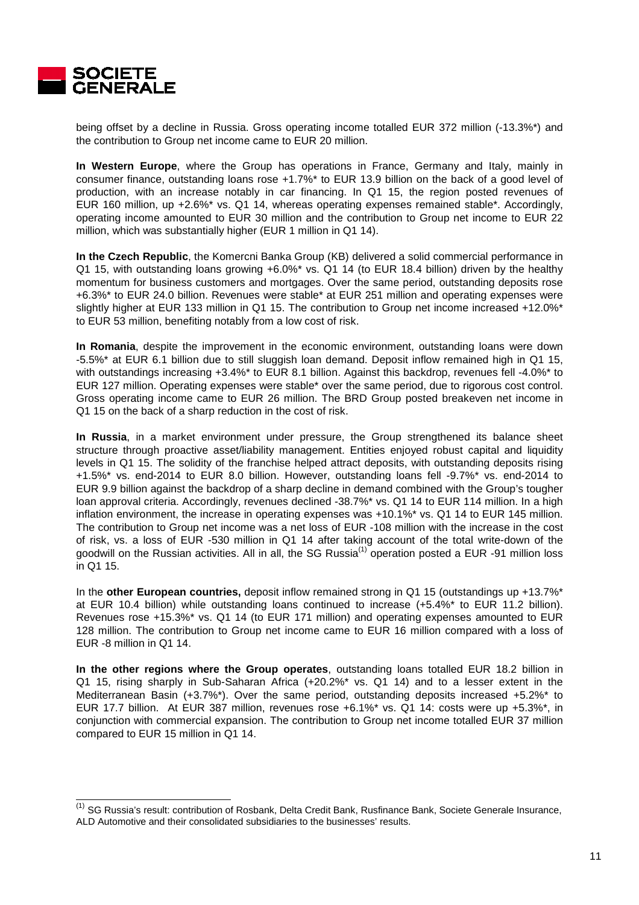

 $\overline{a}$ 

l

being offset by a decline in Russia. Gross operating income totalled EUR 372 million (-13.3%\*) and the contribution to Group net income came to EUR 20 million.

**In Western Europe**, where the Group has operations in France, Germany and Italy, mainly in consumer finance, outstanding loans rose  $+1.7\%$ <sup>\*</sup> to EUR 13.9 billion on the back of a good level of production, with an increase notably in car financing. In Q1 15, the region posted revenues of production, with an increase notably in car financing. In Q1 15, the region posted revenues of<br>EUR 160 million, up +2.6%\* vs. Q1 14, whereas operating expenses remained stable\*. Accordingly, operating income amounted to EUR 30 million and the contribution to Group net income to EUR 22 million, which was substantially higher ( (EUR 1 million in Q1 14).

In the Czech Republic, the Komercni Banka Group (KB) delivered a solid commercial performance in Q1 15, with outstanding loans growing +6.0%\* vs. Q1 14 (to EUR 18.4 billion) driven by the healthy momentum for business customers and mortgages. Over the same period, outstanding deposits rose +6.3%\* to EUR 24.0 billion. Revenues were stable\* at EUR 251 million and operating expenses were slightly higher at EUR 133 million in Q1 15. The contribution to Group net income to EUR 53 million, benefiting notably from a low cost of risk. ) driven by the healthy<br>standing deposits rose<br>erating expenses were<br>me increased +12.0%\*

In Romania, despite the improvement in the economic environment, outstanding loans were down -5.5%\* at EUR 6.1 billion due to still sluggish loan demand. Deposit inflow remained high in Q1 15, with outstandings increasing +3.4%\* to EUR 8.1 billion. Against this backdrop, revenues fell -4.0%\* to EUR 127 million. Operating expenses were stable\* over the same period, due to rigorous cost control. Gross operating income came to EUR 26 million. The BRD Group posted break breakeven net income in Q1 15 on the back of a sharp reduction in the cost of risk.

In Russia, in a market environment under pressure, the Group strengthened its balance sheet structure through proactive asset/liability management. Entities enjoyed robust capital and liquidity levels in Q1 15. The solidity of the franchise helped attract deposits, with outstanding deposits rising In Russia, in a market environment under pressure, the Group strengthened its balance sheet<br>structure through proactive asset/liability management. Entities enjoyed robust capital and liquidity<br>levels in Q1 15. The solidit EUR 9.9 billion against the backdrop of a sharp decline in demand combined with the Group's tougher loan approval criteria. Accordingly, revenues declined -38.7%\* vs. Q1 14 to EUR 114 million. In a high inflation environment, the increase in operating expenses was +10.1%\* vs. Q1 14 to EUR 145 million. The contribution to Group net income was a net loss of EUR -108 million with the increase in the cost of risk, vs. a loss of EUR -530 million in Q1 14 after taking account of the total write-down of the goodwill on the Russian activities. All in all, the SG Russia<sup>(1)</sup> operation posted a EUR -91 million loss in Q1 15.

In the **other European countries**, deposit inflow remained strong in Q1 15 (outstandings up +13.7%<sup>\*</sup> at EUR 10.4 billion) while outstanding loans continued to increase (+5.4%\* to EUR 11.2 billion). at EUR 10.4 billion) while outstanding loans continued to increase (+5.4%\* to EUR 11.2 billion).<br>Revenues rose +15.3%\* vs. Q1 14 (to EUR 171 million) and operating expenses amounted to EUR 128 million. The contribution to Group net income came to EUR 16 million compared with a loss of EUR -8 million in Q1 14.

In the other regions where the Group operates, outstanding loans totalled EUR 18.2 billion in Q1 15, rising sharply in Sub-Saharan Africa (+20.2%<sup>\*</sup> vs. Q1 14) and to a lesser extent in the Mediterranean Basin (+3.7%\*). Over the same period, outstanding deposits increased +5.2%\* to EUR 17.7 billion. At EUR 387 million, revenues rose +6.1%\* vs. Q1 14: costs were up +5.3%\*, in conjunction with commercial expansion. The contribution to Group net income totalled EUR 37 million compared to EUR 15 million in Q1 1 14.

 $<sup>(1)</sup>$  SG Russia's result: contribution of Rosbank, Delta Credit Bank,</sup> ALD Automotive and their consolidated subsidiaries to the businesses' results. Rusfinance Bank, Societe Generale Insurance,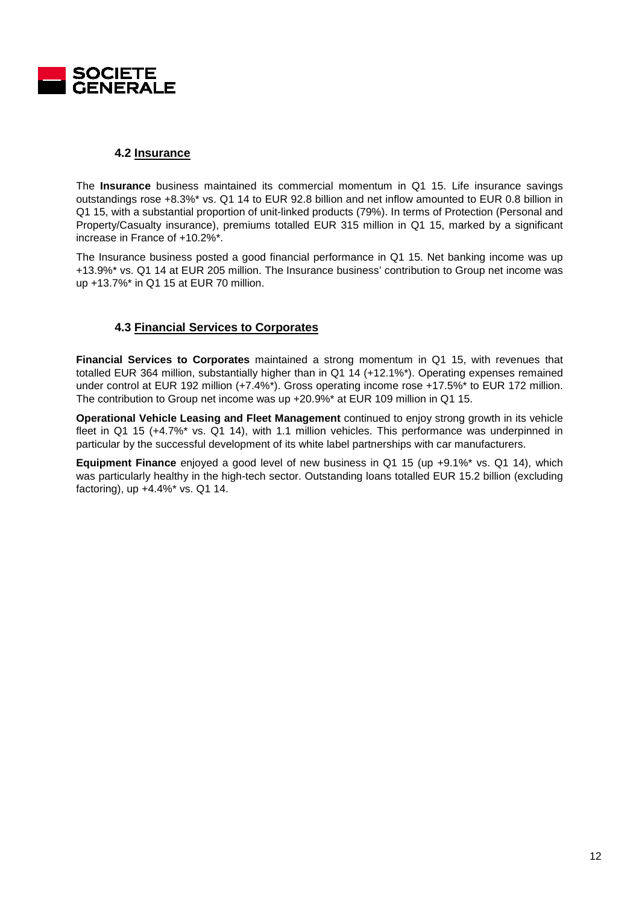

### **4.2 Insurance**

The **Insurance** business maintained its commercial momentum in Q1 15. Life insurance savings The Insurance business maintained its commercial momentum in Q1 15. Life insurance savings<br>outstandings rose +8.3%\* vs. Q1 14 to EUR 92.8 billion and net inflow amounted to EUR 0.8 billion in Q1 15, with a substantial proportion of unit-linked products (79%). In terms of Protection (Personal and Property/Casualty insurance), premiums totalled EUR 315 million in Q1 15, marked by a significant increase in France of +10.2%\*. . In terms of Protection (Personal and<br>on in Q1 15, marked by a significant<br>Q1 15. Net banking income was up

The Insurance business posted a good financial performance in Q1 15. Net banking income +13.9%\* vs. Q1 14 at EUR 205 million. The Insurance business' contribution to Group net income was up +13.7%\* in Q1 15 at EUR 70 million.

### **4.3 Financial Services to Corporates**

**Financial Services to Corporates** maintained a strong momentum in Q1 15, with revenues that totalled EUR 364 million, substantially higher than in Q1 14 (+12.1%\*). Operating expenses remained under control at EUR 192 million (+7.4%\*). Gross operating income rose +17.5%\* to EUR 172 million. The contribution to Group net income was up +20.9%\* at EUR 109 million in Q1 15.

**Operational Vehicle Leasing and Fleet Management continued to enjoy strong growth in its vehicle** fleet in Q1 15 (+4.7%\* vs. Q1 14), with 1.1 million vehicles. This performance was underpinned in particular by the successful development of its white label partnerships with car manufacturers.

**Equipment Finance** enjoyed a good level of new business in Q1 15 (up +9.1%<sup>\*</sup> vs. Q1 14), which was particularly healthy in the high-tech sector. Outstanding loans totalled EUR 15.2 billion (excluding factoring), up +4.4%\* vs. Q1 14. 12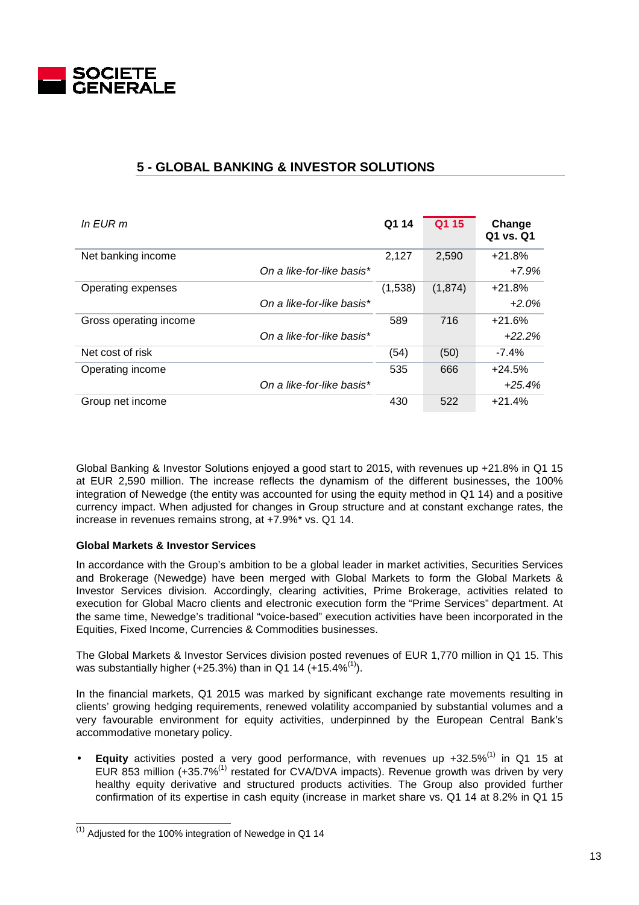

| In EUR m               |                           | Q1 14   | Q1 15    | Change<br>Q1 vs. Q1 |
|------------------------|---------------------------|---------|----------|---------------------|
| Net banking income     |                           | 2,127   | 2,590    | $+21.8%$            |
|                        | On a like-for-like basis* |         |          | $+7.9%$             |
| Operating expenses     |                           | (1,538) | (1, 874) | $+21.8%$            |
|                        | On a like-for-like basis* |         |          | $+2.0%$             |
| Gross operating income |                           | 589     | 716      | $+21.6%$            |
|                        | On a like-for-like basis* |         |          | $+22.2%$            |
| Net cost of risk       |                           | (54)    | (50)     | -7.4%               |
| Operating income       |                           | 535     | 666      | $+24.5%$            |
|                        | On a like-for-like basis* |         |          | $+25.4%$            |
| Group net income       |                           | 430     | 522      | $+21.4%$            |

## **5 - GLOBAL BANKING & INVESTOR SOLUTIONS**

Global Banking & Investor Solutions enjoyed a good start to 2015, with revenues up +21.8% in Q1 15 at EUR 2,590 million. The increase reflects the dynamism of the different businesses, the 100% integration of Newedge (the entity was accounted for using the equity method in Q1 14) and a positive currency impact. When adjusted for changes in Group structure and at constant exchange rates, the increase in revenues remains strong, at +7.9%\* vs. Q1 14.

### **Global Markets & Investor Services**

In accordance with the Group's ambition to be a global leader in market activities, Securities Services and Brokerage (Newedge) have been merged with Global Markets to form the the Global Markets & Investor Services division. Accordingly, clearing activities, Prime Brokerage, activities related to execution for Global Macro clients and electronic execution form the "Prime Services" department. At the same time, Newedge's traditional "voice-based" execution activities have been incorporated in the Equities, Fixed Income, Currencies & Commodities Commodities businesses.

The Global Markets & Investor Services division posted revenues of EUR 1,770 million in Q1 15. This was substantially higher (+25.3%) than in Q1 14 (+15.4%<sup>(1)</sup>).

In the financial markets, Q1 2015 was marked by significant exchange rate movements movements resulting in clients' growing hedging requirements, renewed volatility accompanied by substantial volumes and a very favourable environment for equity activities, underpinned by the European Central Bank's accommodative monetary policy.

accommodative monetary policy.<br>• **Equity** activities posted a very good performance, with revenues up +32.5%<sup>(1)</sup> in Q1 15 at EUR 853 million  $(+35.7\%)^{(1)}$  restated for CVA/DVA impacts). Revenue growth was driven by very healthy equity derivative and structured products activities. The Group also provided further confirmation of its expertise in cash equity (increase in market share vs. Q1 14 at 8.2% in Q1 15

l

l

 $<sup>(1)</sup>$  Adjusted for the 100% integration of Newedge in Q1 14</sup>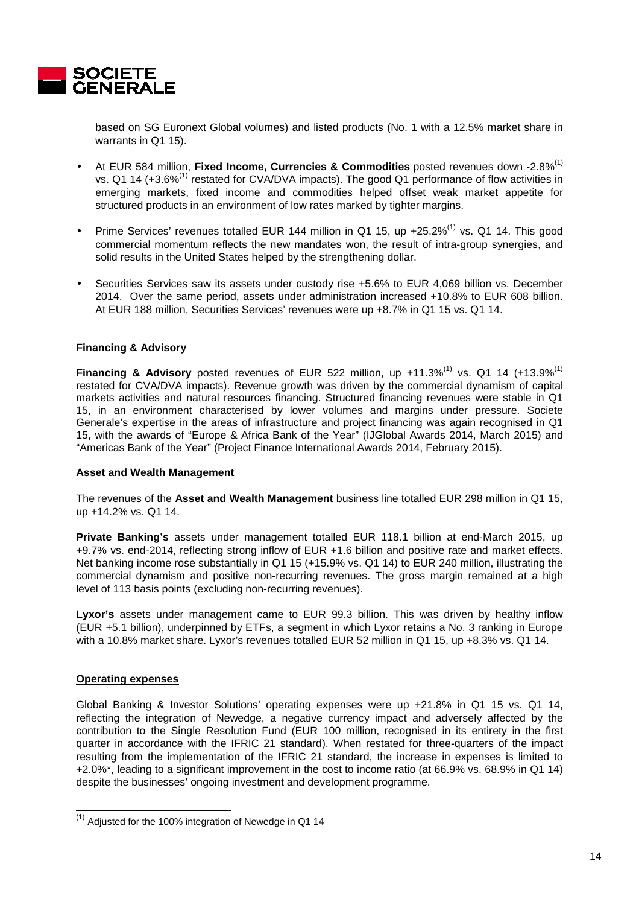

based on SG Euronext Global volumes) and listed products (No. 1 with a 1 12 2.5% market share in warrants in Q1 15).

- At EUR 584 million, Fixed Income, Currencies & Commodities posted revenues down -2.8%<sup>(1)</sup> vs. Q1 14 (+3.6%<sup>(1)</sup> restated for CVA/DVA impacts). The good Q1 performance of flow activities in emerging markets, fixed income and commodities helped offset weak market appetite for structured products in an environment of low rates marked by tighter margins.
- structured products in an environment of low rates marked by tighter margins.<br>• Prime Services' revenues totalled EUR 144 million in Q1 15, up +25.2%<sup>(1)</sup> vs. Q1 14. This good commercial momentum reflects the new mandates won, the result of intra-group synergies group synergies, and solid results in the United States helped by the strengthening dollar.
- Securities Services saw its assets under custody rise +5.6% to EUR 4,069 billion vs. December 2014. Over the same period, assets under administration increased +10.8% to EUR 608 billion. At EUR 188 million, Securities Services' revenues were up +8.7% in Q1 15 vs. Q1 14.

#### **Financing & Advisory**

Financing & Advisory posted revenues of EUR 522 million, up +11.3%<sup>(1)</sup> vs. Q1 14 (+13.9%<sup>(1)</sup> restated for CVA/DVA impacts). Revenue growth was driven by the commercial dynamism of capital markets activities and natural resources financing. Structured financing revenues were stable in Q1 15, in an environment characterised by lower volumes and margins under pressure pressure. Societe Generale's expertise in the areas of infrastructure and project financing was again recognised in Q1 15, with the awards of "Europe & Africa Bank of the Year" (IJGlobal Awards 2014, March 2015) and "Americas Bank of the Year" (Project Finance International Awards 2014, February 2015). 2015).

#### **Asset and Wealth Management**

The revenues of the **Asset and Wealth Management** business line totalled EUR 298 million in Q1 15, up +14.2% vs. Q1 14.

Private Banking's assets under management totalled EUR 118.1 billion at end-March 2015, up +9.7% vs. end-2014, reflecting strong inflow of EUR +1.6 billion and positive rate and market effects. Net banking income rose substantially in Q1 15 (+15.9% vs. Q1 14) to EUR 240 million, illustrating the commercial dynamism and positive non-recurring revenues. The gross margin remained at a high level of 113 basis points (excluding non-recurring revenues). commercial dynamism and positive non-recurring revenues. The gross margin remained at a high<br>level of 113 basis points (excluding non-recurring revenues).<br>**Lyxor's** assets under management came to EUR 99.3 billion. This wa

(EUR +5.1 billion), underpinned by ETFs, a segment in which Lyxor retains a No. 3 ranking in Europe (EUR +5.1 billion), underpinned by ETFs, a segment in which Lyxor retains a No. 3 ranking in Euro<br>with a 10.8% market share. Lyxor's revenues totalled EUR 52 million in Q1 15, up +8.3% vs. Q1 14.

#### **Operating expenses**

 $\overline{a}$ 

Global Banking & Investor Solutions' operating expenses were up +21.8% in Q1 15 15 vs. Q1 14, reflecting the integration of Newedge, a negative currency impact and adversely affected by the contribution to the Single Resolution Fund (EUR 100 million, recognised in its entirety in the first quarter in accordance with the IFRIC 21 standard). When restated for three-quarters of the impact quarter in accordance with the IFRIC 21 standard). When restated for three-quarters of the impact<br>resulting from the implementation of the IFRIC 21 standard, the increase in expenses is limited to +2.0%\*, leading to a significant improvement in the cost to income ratio (at 66.9% vs. 68.9% in Q1 14) despite the businesses' ongoing investment and development programme.

 $\overline{a}$ 

 $<sup>(1)</sup>$  Adjusted for the 100% integration of Newedge in Q1 14</sup>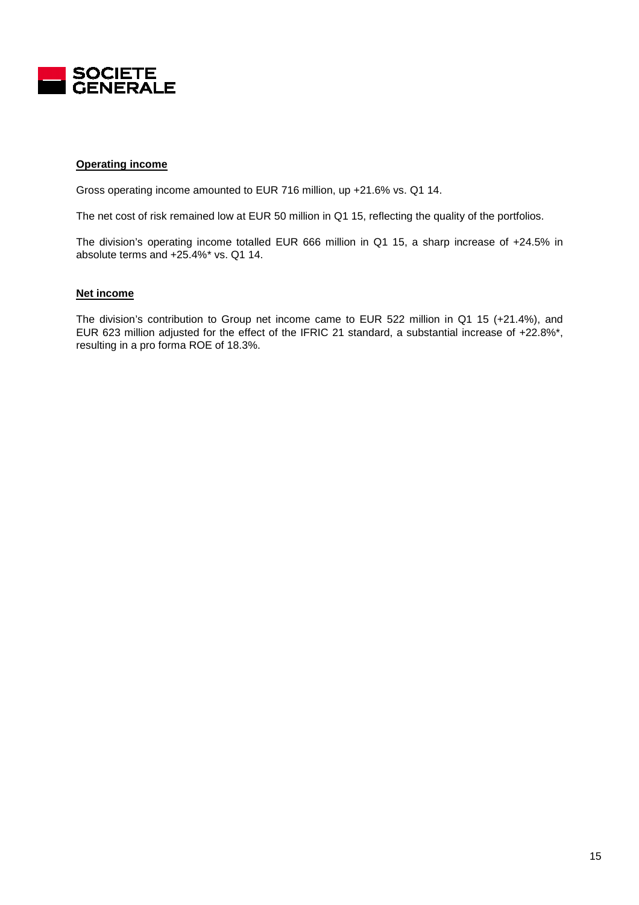

#### **Operating income**

Gross operating income amounted to EUR 716 million, up +21.6% vs. Q1 14.

The net cost of risk remained low at EUR 50 million in Q1 15, reflecting the quality of the portfolios.

The division's operating income totalled EUR 666 million in Q1 15, a sharp increase of +24.5% in absolute terms and +25.4%\* vs. Q1 14.

#### **Net income**

The division's contribution to Group net income came to EUR 522 million in Q1 15 (+21. (+21.4%), and EUR 623 million adjusted for the effect of the IFRIC 21 standard, a substantial increase of +22.8%\*, resulting in a pro forma ROE of 18. 18.3%.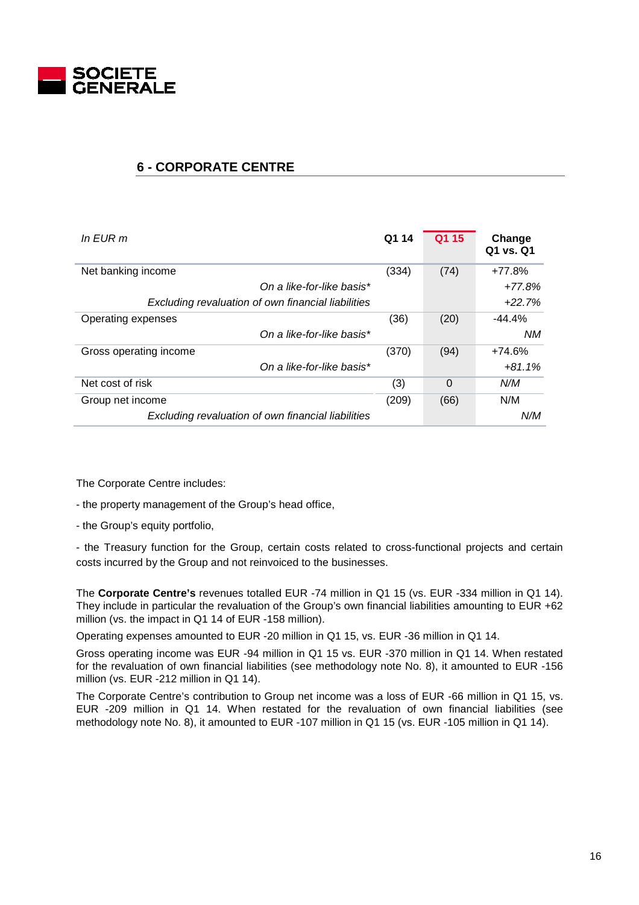

## **6 - CORPORATE CENTRE**

| In EUR m                                           | Q1 14 | Q1 15 | Change<br>Q1 vs. Q1 |
|----------------------------------------------------|-------|-------|---------------------|
| Net banking income                                 | (334) | (74)  | $+77.8%$            |
| On a like-for-like basis*                          |       |       | $+77.8%$            |
| Excluding revaluation of own financial liabilities |       |       | $+22.7%$            |
| Operating expenses                                 | (36)  | (20)  | $-44.4%$            |
| On a like-for-like basis*                          |       |       | NM.                 |
| Gross operating income                             | (370) | (94)  | +74.6%              |
| On a like-for-like basis*                          |       |       | $+81.1%$            |
| Net cost of risk                                   | (3)   | 0     | N/M                 |
| Group net income                                   | (209) | (66)  | N/M                 |
| Excluding revaluation of own financial liabilities |       |       | N/M                 |

The Corporate Centre includes:

- the property management of the Group's head office,

- the Group's equity portfolio,

- the property management of the Group's head office,<br>- the Group's equity portfolio,<br>- the Treasury function for the Group, certain costs related to cross-functional projects and certain costs incurred by the Group and not reinvoiced to the businesses.

The **Corporate Centre's** revenues totalled EUR -74 million in Q1 15 (vs. EUR -334 million in Q1 14). They include in particular the revaluation of the Group's own financial liabilities amounting to EUR +62 million (vs. the impact in Q1 14 of EUR -158 million). ross-functional projects and certain<br>15 (vs. EUR -334 million in Q1 14).<br>cial liabilities amounting to EUR +62<br>JR -36 million in Q1 14.<br>370 million in Q1 14. When restated<br>ote No. 8), it amounted to EUR -156

Operating expenses amounted to EUR -20 million in Q1 15, vs. EUR -36 million in Q1 14.

Gross operating income was EUR -94 million in Q1 15 vs. EUR -370 million in Q1 14. When restated for the revaluation of own financial liabilities (see methodology note No. 8), it amounted to EUR -156 million (vs. EUR -212 million in Q1 14).

The Corporate Centre's contribution to Group net income was a loss of EUR -66 66 million in Q1 15, vs. EUR -209 million in Q1 14. When restated for the revaluation of own financial liabilities (see methodology note No. 8), it amounted to EUR -107 million in Q1 15 (vs. EUR -105 million in Q1 14).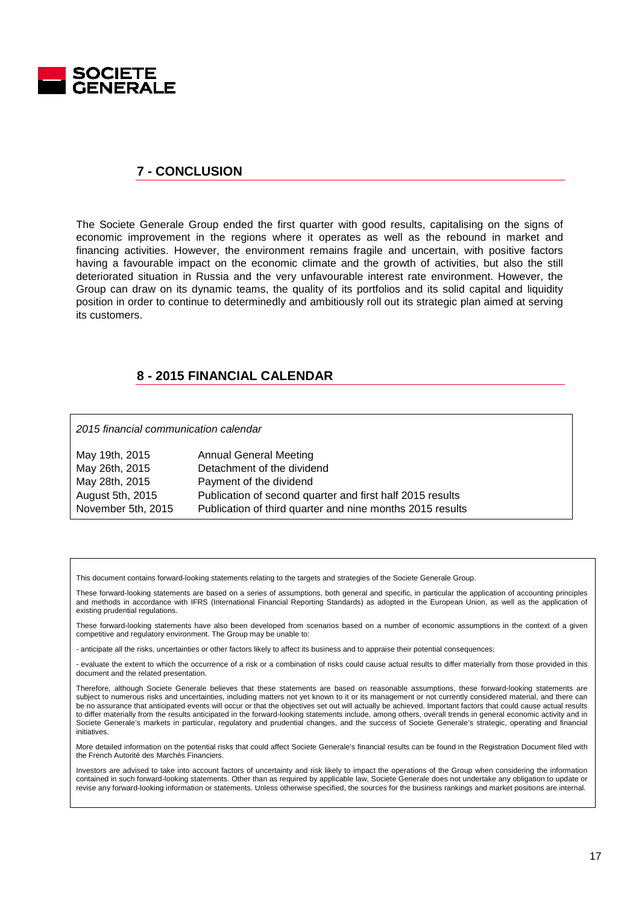

### **7 - CONCLUSION**

The Societe Generale Group ended the first quarter with good results, capitalising on the signs of economic improvement in the regions where it operates as well as the rebound in market and financing activities. However, the environment remains fragile and uncertain, with positive factors having a favourable impact on the economic climate and the growth of activities, but also the still having a favourable impact on the economic climate and the growth of activities, but also the still<br>deteriorated situation in Russia and the very unfavourable interest rate environment. However, the Group can draw on its dynamic teams, the quality of its portfolios and its solid capital and liquidity position in order to continue to determinedly and ambitiously roll out its strategic plan aimed at serving its customers.

### **8 - 2015 FINANCIAL CALEN CALENDAR**

2015 financial communication calendar

| May 19th, 2015     | <b>Annual General Meeting</b>                             |
|--------------------|-----------------------------------------------------------|
| May 26th, 2015     | Detachment of the dividend                                |
| May 28th, 2015     | Payment of the dividend                                   |
| August 5th, 2015   | Publication of second quarter and first half 2015 results |
| November 5th, 2015 | Publication of third quarter and nine months 2015 results |

This document contains forward-looking statements relating to the targets and strategies of the Societe Generale Group.

These forward-looking statements are based on a series of assumptions, both general and specific, in particular the application of accounti accounting principles and methods in accordance with IFRS (International Financial Reporting Standards) as adopted in the European Union, as well as the application of existing prudential regulations. looking statements are based on a series of assumptions, both general and specific, in particular the application<br>a ccordance with IFRS (International Financial Reporting Standards) as adopted in the European Union, as wei

These forward-looking statements have also been developed from scenarios based on a number of economic assumptions in the context of a given competitive and regulatory environment. The Group may be unable to:

- anticipate all the risks, uncertainties or other factors likely to affect its business and to appraise their potential consequences;

- evaluate the extent to which the occurrence of a risk or a combination of risks could cause actual results to differ materially from those provided in this document and the related presentation.

Therefore, although Societe Generale believes that these statements are based on reasonable assumptions, these forward-looking statements are subject to numerous risks and uncertainties, including matters not yet known to it or its management or not currently considered material, and there can be no assurance that anticipated events will occur or that the objectives set out will actually be achieved. Important factors that could cause actual results to differ materially from the results anticipated in the forward-looking statements include, among others, overall trends in general economic activity and in Societe Generale's markets in particular, regulatory and prudential changes, and the success of Societe Generale's strategic, operating and financial initiatives.

More detailed information on the potential risks that could affect Societe Generale's financial results can be found in the Registration Document filed with the French Autorité des Marchés Financiers. More detailed information on the potential risks that could affect Societe Generale's financial results can be found in the Registration Document filed with<br>the French Autorité des Marchés Financiers.<br>Investors are advised

contained in such forward-looking statements. Other than as required by applicable law, Societe Generale does not undertake any obligation to update or contained in such forward-looking statements. Other than as required by applicable law, Societe Generale does not undertake any obligation to update oi<br>revise any forward-looking information or statements. Unless otherwise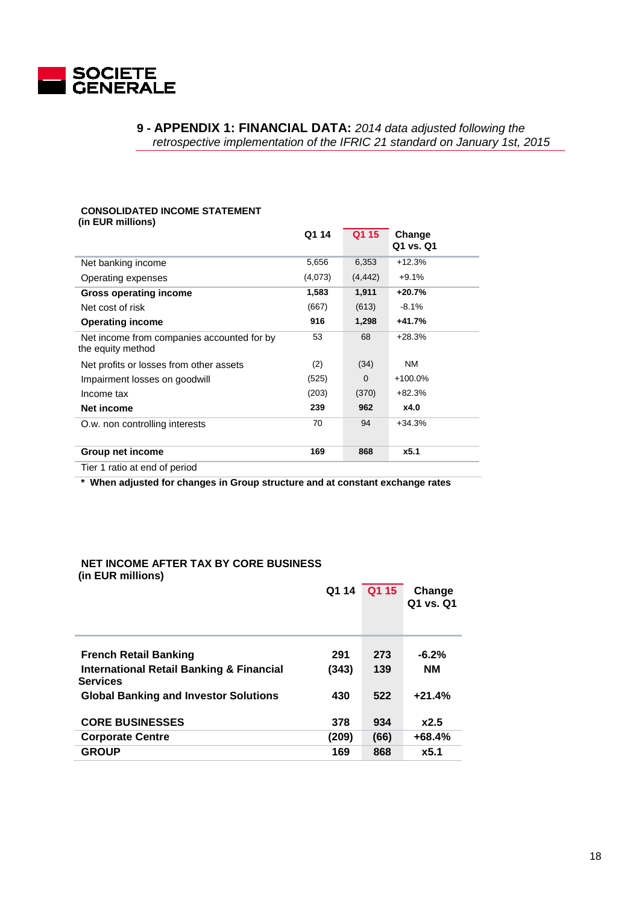

#### **9 - APPENDIX 1: FINANCIA** retrospective implementation of **FINANCIAL DATA:** 2014 data adjusted following the the IFRIC 21 standard on January 1st, 2015

#### **CONSOLIDATED INCOME STATEMENT (in EUR millions)**

|                                                                 | Q1 14   | Q1 15       | Change<br>Q1 vs. Q1 |
|-----------------------------------------------------------------|---------|-------------|---------------------|
| Net banking income                                              | 5,656   | 6,353       | $+12.3%$            |
| Operating expenses                                              | (4,073) | (4, 442)    | $+9.1%$             |
| Gross operating income                                          | 1,583   | 1,911       | $+20.7%$            |
| Net cost of risk                                                | (667)   | (613)       | $-8.1%$             |
| <b>Operating income</b>                                         | 916     | 1,298       | $+41.7%$            |
| Net income from companies accounted for by<br>the equity method | 53      | 68          | $+28.3%$            |
| Net profits or losses from other assets                         | (2)     | (34)        | <b>NM</b>           |
| Impairment losses on goodwill                                   | (525)   | $\mathbf 0$ | +100.0%             |
| Income tax                                                      | (203)   | (370)       | $+82.3%$            |
| Net income                                                      | 239     | 962         | x4.0                |
| O.w. non controlling interests                                  | 70      | 94          | $+34.3%$            |
| Group net income                                                | 169     | 868         | x5.1                |
| Tier 1 ratio at end of period                                   |         |             |                     |

**\* When adjusted for changes in Group structure and at constant exchange rates** 

#### **NET INCOME AFTER TAX BY CORE BUSINESS (in EUR millions)**

|                                                                                     | Q1 14        | Q1 15      | Change<br>Q1 vs. Q1  |
|-------------------------------------------------------------------------------------|--------------|------------|----------------------|
| <b>French Retail Banking</b><br><b>International Retail Banking &amp; Financial</b> | 291<br>(343) | 273<br>139 | $-6.2%$<br><b>NM</b> |
| <b>Services</b>                                                                     |              |            |                      |
| <b>Global Banking and Investor Solutions</b>                                        | 430          | 522        | $+21.4%$             |
| <b>CORE BUSINESSES</b>                                                              | 378          | 934        | x2.5                 |
| <b>Corporate Centre</b>                                                             | (209)        | (66)       | $+68.4%$             |
| <b>GROUP</b>                                                                        | 169          | 868        | x5.1                 |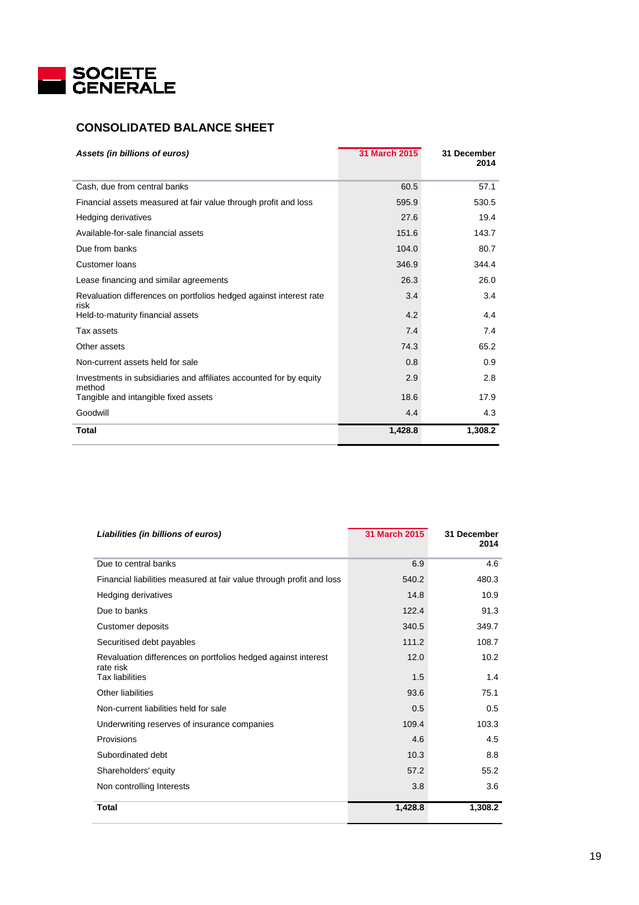

### **CONSOLIDATED BALANCE BALANCE SHEET**

| Assets (in billions of euros)                                                | 31 March 2015 | 31 December<br>2014 |
|------------------------------------------------------------------------------|---------------|---------------------|
| Cash, due from central banks                                                 | 60.5          | 57.1                |
| Financial assets measured at fair value through profit and loss              | 595.9         | 530.5               |
| Hedging derivatives                                                          | 27.6          | 19.4                |
| Available-for-sale financial assets                                          | 151.6         | 143.7               |
| Due from banks                                                               | 104.0         | 80.7                |
| Customer loans                                                               | 346.9         | 344.4               |
| Lease financing and similar agreements                                       | 26.3          | 26.0                |
| Revaluation differences on portfolios hedged against interest rate<br>risk   | 3.4           | 3.4                 |
| Held-to-maturity financial assets                                            | 4.2           | 4.4                 |
| Tax assets                                                                   | 7.4           | 7.4                 |
| Other assets                                                                 | 74.3          | 65.2                |
| Non-current assets held for sale                                             | 0.8           | 0.9                 |
| Investments in subsidiaries and affiliates accounted for by equity<br>method | 2.9           | 2.8                 |
| Tangible and intangible fixed assets                                         | 18.6          | 17.9                |
| Goodwill                                                                     | 4.4           | 4.3                 |
| <b>Total</b>                                                                 | 1,428.8       | 1,308.2             |

| Liabilities (in billions of euros)                                                                   | 31 March 2015 | 31 December<br>2014 |
|------------------------------------------------------------------------------------------------------|---------------|---------------------|
| Due to central banks                                                                                 | 6.9           | 4.6                 |
| Financial liabilities measured at fair value through profit and loss                                 | 540.2         | 480.3               |
| Hedging derivatives                                                                                  | 14.8          | 10.9                |
| Due to banks                                                                                         | 122.4         | 91.3                |
| Customer deposits                                                                                    | 340.5         | 349.7               |
| Securitised debt payables                                                                            | 111.2         | 108.7               |
| Revaluation differences on portfolios hedged against interest<br>rate risk<br><b>Tax liabilities</b> | 12.0<br>1.5   | 10.2<br>1.4         |
| <b>Other liabilities</b>                                                                             | 93.6          | 75.1                |
| Non-current liabilities held for sale                                                                | 0.5           | 0.5                 |
| Underwriting reserves of insurance companies                                                         | 109.4         | 103.3               |
| Provisions                                                                                           | 4.6           | 4.5                 |
| Subordinated debt                                                                                    | 10.3          | 8.8                 |
| Shareholders' equity                                                                                 | 57.2          | 55.2                |
| Non controlling Interests                                                                            | 3.8           | 3.6                 |
| <b>Total</b>                                                                                         | 1,428.8       | 1,308.2             |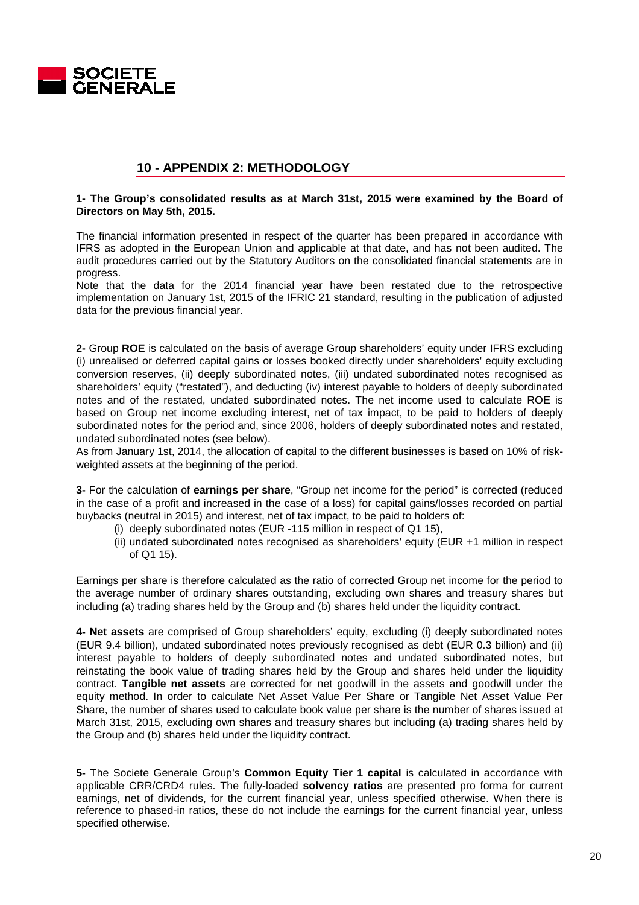

### **10 - APPENDIX 2: METHODOL METHODOLOGY**

#### **1- The Group's consolidated results as at March 31st, 2015 were examined by the Board of Directors on May 5th, 2015.**

The financial information presented in respect of the quarter has been prepared in accordance with IFRS as adopted in the European Union and applicable at that date, and has not been audited. The audit procedures carried out by the Statutory Auditors on the consolidated financial statements are in progress.

Note that the data for the 2014 financial year have been restated due to the retrospective implementation on January 1st, 2015 of the IFRIC 21 standard, resulting in the publication of adjusted data for the previous financial year.

**2-** Group **ROE** is calculated on the basis of average Group shareholders' equity under IFRS excluding (i) unrealised or deferred capital gains or losses booked directly under shareholders' equity excluding conversion reserves, (ii) deeply subordinated notes, (iii) undated subordinated notes recognised as shareholders' equity ("restated"), and deducting (iv) interest payable to holders of deeply subordinated notes and of the restated, undated subordinated notes. The net income used to calculate ROE is based on Group net income excluding interest, net of tax impact, to be paid to holders of deeply subordinated notes for the period and, since 2006, holders of deeply subordinated notes and restated, undated subordinated notes (see below). based on Group net income excluding interest, net of tax impact, to be paid to holders of deeply<br>subordinated notes for the period and, since 2006, holders of deeply subordinated notes and restated<br>undated subordinated not of the IFRIC 21 standard, resulting in the publication of adjusted<br>sisis of average Group shareholders' equity under IFRS excluding<br>s or losses booked directly under shareholders' equity excluding<br>ordinated notes, (iii) un

weighted assets at the beginning of the period.

**3-** For the calculation of **earnings per share** , "Group net income for the period" is corrected (reduced in the case of a profit and increased in the case of a loss) for capital gains/losses recorded on partial buybacks (neutral in 2015) and interest, net of tax impact, to be paid to holders of: ase of a profit and increased in the case of a loss) for capital gains/losses recorded on partial<br>is (neutral in 2015) and interest, net of tax impact, to be paid to holders of:<br>(i) deeply subordinated notes (EUR -115 mill

- (s (neutral in 2015) and interest, net of tax impact, to be paid to holders<br>(i) deeply subordinated notes (EUR -115 million in respect of Q1 15),
- of Q1 15).

Earnings per share is therefore calculated as the ratio of corrected Group net income for the period to the average number of ordinary shares outstanding, excluding own shares and treasury shares but the average number of ordinary shares outstanding, excluding own shares and treasury sh<br>including (a) trading shares held by the Group and (b) shares held under the liquidity contract.

**4- Net assets** are comprised of Group shareholders' equity, excluding (i) deeply subordinated notes (EUR 9.4 billion), undated subordinated notes previously recognised as debt (EUR 0.3 billion) and (ii) interest payable to holders of deeply subordinated notes and undated subordinated notes, but reinstating the book value of trading shares held by the Group and shares held under the liquidity contract. **Tangible net assets** are corrected for net goodwill in the assets and goodwill under the equity method. In order to calculate Net Asset Value Per Share or Tangible Net Asset Value Per Share, the number of shares used to calculate book value per share is the number of shares issued at March 31st, 2015, excluding own shares and treasury shares but including (a) trading shares held by the Group and (b) shares held under the liquidity contract. res of shares used to calculate book value per share is the number of shares issued at<br>, excluding own shares and treasury shares but including (a) trading shares held by<br>shares held under the liquidity contract.<br>ienerale up and shares held under the liquidity<br>
I in the assets and goodwill under the<br>
hare or Tangible Net Asset Value Per<br>
share is the number of shares issued at<br>
but including (a) trading shares held by<br> **apital** is calculate

5- The Societe Generale Group's **Common Equity Tier 1 capital** is calculated in accordance with applicable CRR/CRD4 rules. The fully-loaded **solvency ratios** are presented pro forma for current earnings, net of dividends, for the current financial year, unless specified otherwise. When there is reference to phased-in ratios, these do not include the earnings for the current financial year, unless specified otherwise.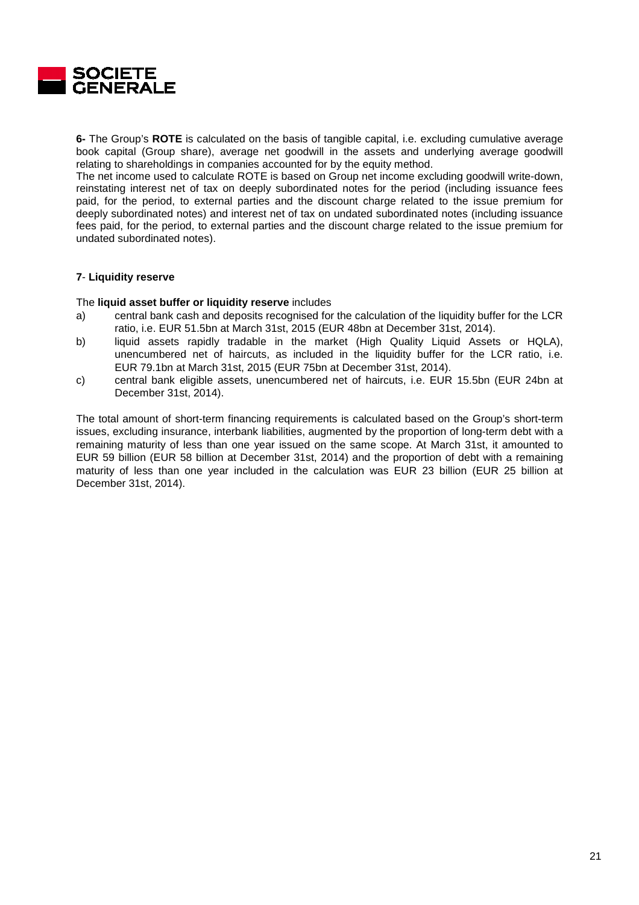

**6-** The Group's **ROTE** is calculated on the basis of tangible capital, i.e. excluding cumulative average book capital (Group share), average net goodwill in the assets and underlying average goodwill relating to shareholdings in companies accounted for by the equity method.

The net income used to calculate ROTE is based on Group net income excluding goodwill write-down, reinstating interest net of tax on deeply subordinated notes for the period (including issuance fees paid, for the period, to external parties and the discount charge related to the issue premium for deeply subordinated notes) and interest net of tax on undated subordinated notes (including issuance fees paid, for the period, to external parties and the discount charge related to the issue premium for undated subordinated notes). harge related to the issue<br>d subordinated notes (inclue<br>charge related to the issue<br>culation of the liquidity buffe<br>a at December 31st, 2014).

#### **7**- **Liquidity reserve**

### The **liquid asset buffer or liquidity reserve** includes

- a) central bank cash and deposits recognised for the calculation of the liquidity buffer for the LCR ratio, i.e. EUR 51.5bn at March 31st, 2015 (EUR 48bn at December 31st, 2014)
- b) liquid assets rapidly tradable in the market (High Quality Liquid Assets or HQLA), unencumbered net of haircuts, as included in the liquidity buffer for the LCR ratio, i.e. EUR 79.1bn at March 31st, 2015 (EUR 75bn at December 3 31st, 2014).
- c) central bank eligible assets, unencumbered net of haircuts, i.e. EUR 15.5bn (EUR 24bn at December 31st, 2014). c) central bank eligible assets, unencumbered net of haircuts, i.e. EUR 15.5bn (EUR 24bn at<br>December 31st, 2014).<br>The total amount of short-term financing requirements is calculated based on the Group's short-term

The total amount of short-term financing requirements is calculated based on the Group's short-term<br>issues, excluding insurance, interbank liabilities, augmented by the proportion of long-term debt with a remaining maturity of less than one year issued on the same scope. At March 31st, it amounted to remaining maturity of less than one year issued on the same scope. At March 31st, it amounted to<br>EUR 59 billion (EUR 58 billion at December 31st, 2014) and the proportion of debt with a remaining maturity of less than one year included in the calculation was EUR 23 billion (EUR 25 billion at December 31st, 2014). an one year included in the calculation was EUR 23 billion (EUR 25 billion at 44).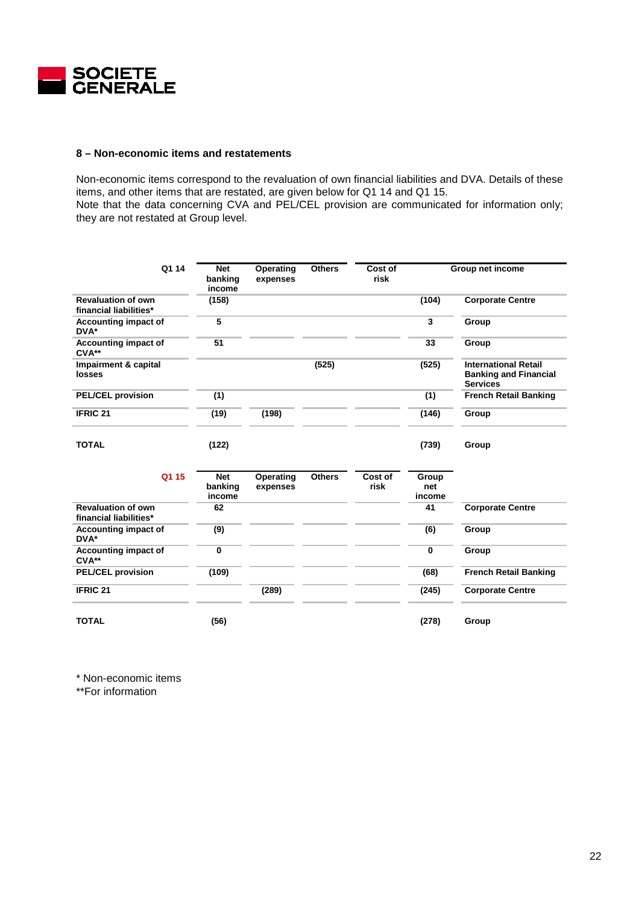

#### **8 – Non-economic items and restatements economic**

Non-economic items correspond to the revaluation of own financial liabilities and DVA. Details of these Non-economic items correspond to the revaluation of own financial liabilities an<br>items, and other items that are restated, are given below for Q1 14 and Q1 15. Note that the data concerning CVA and PEL/CEL provision are communicated for information only; they are not restated at Group level.

| Q1 14                                               | <b>Net</b><br>banking<br>income | Operating<br>expenses | <b>Others</b> | Cost of<br>risk |                        | Group net income                                                               |
|-----------------------------------------------------|---------------------------------|-----------------------|---------------|-----------------|------------------------|--------------------------------------------------------------------------------|
| <b>Revaluation of own</b><br>financial liabilities* | (158)                           |                       |               |                 | (104)                  | <b>Corporate Centre</b>                                                        |
| <b>Accounting impact of</b><br>DVA*                 | 5                               |                       |               |                 | 3                      | Group                                                                          |
| <b>Accounting impact of</b><br>CVA**                | 51                              |                       |               |                 | 33                     | Group                                                                          |
| Impairment & capital<br>losses                      |                                 |                       | (525)         |                 | (525)                  | <b>International Retail</b><br><b>Banking and Financial</b><br><b>Services</b> |
| <b>PEL/CEL provision</b>                            | (1)                             |                       |               |                 | (1)                    | <b>French Retail Banking</b>                                                   |
| <b>IFRIC 21</b>                                     | (19)                            | (198)                 |               |                 | (146)                  | Group                                                                          |
| <b>TOTAL</b>                                        | (122)                           |                       |               |                 | (739)                  | Group                                                                          |
| Q1 15                                               | <b>Net</b><br>banking<br>income | Operating<br>expenses | <b>Others</b> | Cost of<br>risk | Group<br>net<br>income |                                                                                |
| <b>Revaluation of own</b><br>financial liabilities* | 62                              |                       |               |                 | 41                     | <b>Corporate Centre</b>                                                        |
| <b>Accounting impact of</b><br>DVA*                 | (9)                             |                       |               |                 | (6)                    | Group                                                                          |
| <b>Accounting impact of</b><br>CVA**                | $\bf{0}$                        |                       |               |                 | $\bf{0}$               | Group                                                                          |
| <b>PEL/CEL provision</b>                            | (109)                           |                       |               |                 | (68)                   | <b>French Retail Banking</b>                                                   |
| <b>IFRIC 21</b>                                     |                                 | (289)                 |               |                 | (245)                  | <b>Corporate Centre</b>                                                        |
| <b>TOTAL</b>                                        | (56)                            |                       |               |                 | (278)                  | Group                                                                          |

\* Non-economic items

\*\*For information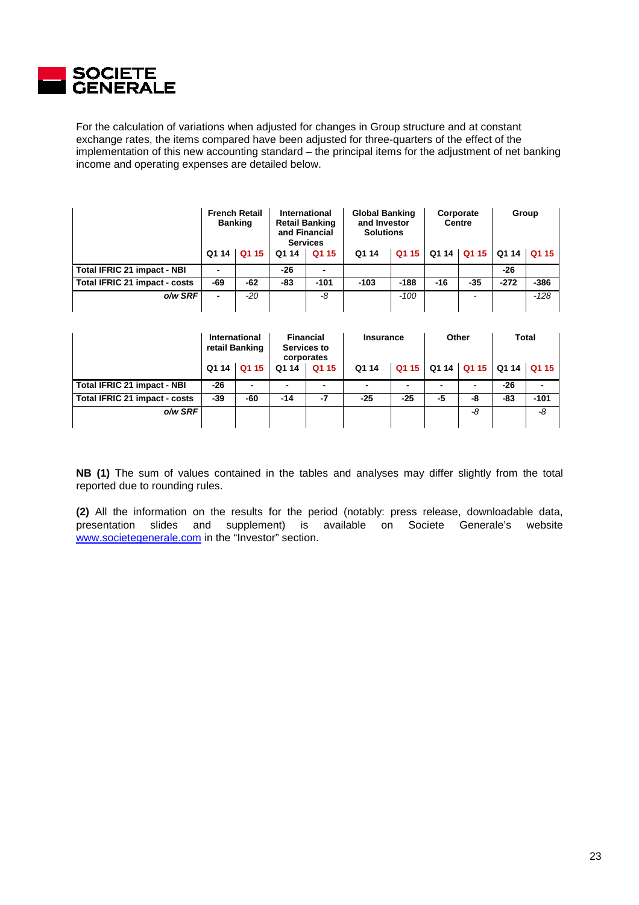

For the calculation of variations when adjusted for changes in Group structure and at constant For the calculation of variations when adjusted for changes in Group structure and at constant<br>exchange rates, the items compared have been adjusted for three-quarters of the effect of the implementation of this new accounting standard – the principal items for the adjustment of net banking income and operating expenses are detailed below.

|                                      | <b>French Retail</b>     | <b>Banking</b> | International<br><b>Retail Banking</b><br>and Financial<br><b>Services</b> |        |        |        | <b>Global Banking</b><br>and Investor<br><b>Solutions</b> |       |        | Corporate<br>Centre |  | Group |  |
|--------------------------------------|--------------------------|----------------|----------------------------------------------------------------------------|--------|--------|--------|-----------------------------------------------------------|-------|--------|---------------------|--|-------|--|
|                                      | Q1 14                    | Q1 15          | Q1 14                                                                      | Q1 15  | Q1 14  | Q1 15  | Q114                                                      | Q1 15 | Q1 14  | Q115                |  |       |  |
| <b>Total IFRIC 21 impact - NBI</b>   | $\blacksquare$           |                | $-26$                                                                      |        |        |        |                                                           |       | $-26$  |                     |  |       |  |
| <b>Total IFRIC 21 impact - costs</b> | -69                      | -62            | -83                                                                        | $-101$ | $-103$ | $-188$ | $-16$                                                     | $-35$ | $-272$ | $-386$              |  |       |  |
| o/w SRF                              | $\overline{\phantom{a}}$ | $-20$          |                                                                            | -8     |        | $-100$ |                                                           |       |        | $-128$              |  |       |  |

|                                      | International<br>retail Banking |                          | <b>Financial</b><br>Services to<br>corporates |       | <b>Insurance</b> |                | Other |       | Total |             |
|--------------------------------------|---------------------------------|--------------------------|-----------------------------------------------|-------|------------------|----------------|-------|-------|-------|-------------|
|                                      | Q1 14                           | Q1 15                    | Q1 14                                         | Q1 15 | Q1 14            | Q1 15          | Q1 14 | Q1 15 |       | Q1 14 Q1 15 |
| Total IFRIC 21 impact - NBI          | $-26$                           | $\overline{\phantom{0}}$ | -                                             |       | -                | $\blacksquare$ |       | -     | $-26$ |             |
| <b>Total IFRIC 21 impact - costs</b> | -39                             | -60                      | -14                                           | -7    | -25              | $-25$          | -5    | -8    | -83   | $-101$      |
| o/w SRF                              |                                 |                          |                                               |       |                  |                |       | -8    |       | -8          |

**NB (1)** The sum of values contained in the tables and analyses may differ slightly from the total reported due to rounding rules.

**(2)** All the information on the results for the period (notably: press release, downloadable data, presentation slides and supplement) is available on Societe Generale's Generale's website www.societegenerale.com in the "Investor" section.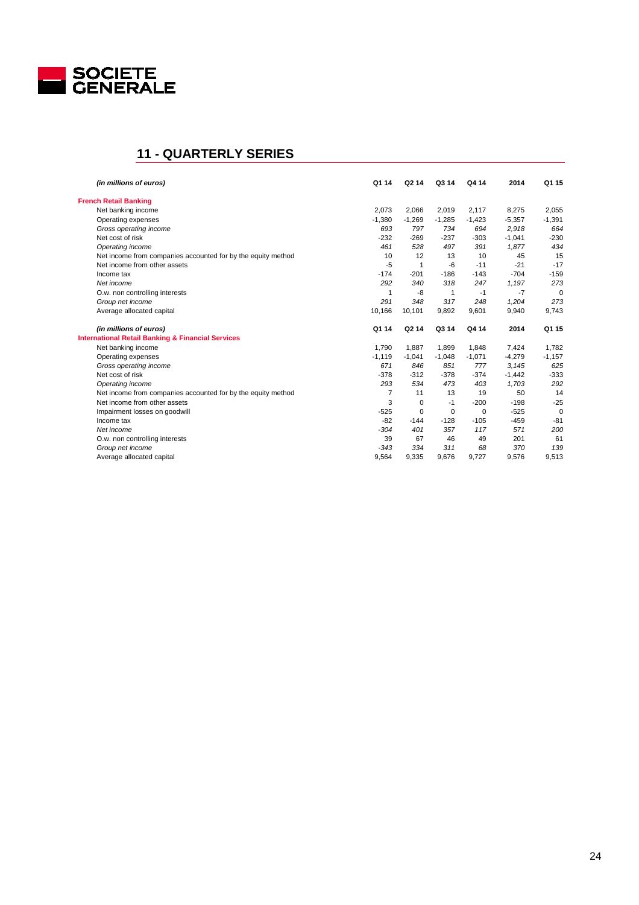

## **11 - QUARTERLY SERIES**

| (in millions of euros)                                       | Q1 14    | Q <sub>2</sub> 14 | Q3 14       | Q4 14       | 2014     | Q1 15    |
|--------------------------------------------------------------|----------|-------------------|-------------|-------------|----------|----------|
| <b>French Retail Banking</b>                                 |          |                   |             |             |          |          |
| Net banking income                                           | 2,073    | 2,066             | 2,019       | 2,117       | 8,275    | 2,055    |
| Operating expenses                                           | $-1,380$ | $-1,269$          | $-1,285$    | $-1,423$    | $-5,357$ | $-1,391$ |
| Gross operating income                                       | 693      | 797               | 734         | 694         | 2,918    | 664      |
| Net cost of risk                                             | $-232$   | $-269$            | $-237$      | $-303$      | $-1,041$ | $-230$   |
| Operating income                                             | 461      | 528               | 497         | 391         | 1,877    | 434      |
| Net income from companies accounted for by the equity method | 10       | 12                | 13          | 10          | 45       | 15       |
| Net income from other assets                                 | $-5$     | 1                 | -6          | $-11$       | $-21$    | $-17$    |
| Income tax                                                   | $-174$   | $-201$            | $-186$      | $-143$      | $-704$   | $-159$   |
| Net income                                                   | 292      | 340               | 318         | 247         | 1,197    | 273      |
| O.w. non controlling interests                               | 1        | -8                | -1          | $-1$        | $-7$     | $\Omega$ |
| Group net income                                             | 291      | 348               | 317         | 248         | 1,204    | 273      |
| Average allocated capital                                    | 10,166   | 10,101            | 9,892       | 9,601       | 9,940    | 9,743    |
| (in millions of euros)                                       | Q1 14    | Q <sub>2</sub> 14 | Q3 14       | Q4 14       | 2014     | Q1 15    |
| <b>International Retail Banking &amp; Financial Services</b> |          |                   |             |             |          |          |
| Net banking income                                           | 1.790    | 1,887             | 1,899       | 1,848       | 7,424    | 1,782    |
| Operating expenses                                           | $-1,119$ | $-1,041$          | $-1,048$    | $-1,071$    | $-4,279$ | $-1,157$ |
| Gross operating income                                       | 671      | 846               | 851         | 777         | 3,145    | 625      |
| Net cost of risk                                             | $-378$   | $-312$            | $-378$      | $-374$      | $-1,442$ | $-333$   |
| Operating income                                             | 293      | 534               | 473         | 403         | 1,703    | 292      |
| Net income from companies accounted for by the equity method | 7        | 11                | 13          | 19          | 50       | 14       |
| Net income from other assets                                 | 3        | $\Omega$          | $-1$        | $-200$      | $-198$   | $-25$    |
| Impairment losses on goodwill                                | $-525$   | 0                 | $\mathbf 0$ | $\mathbf 0$ | $-525$   | $\Omega$ |
| Income tax                                                   | $-82$    | $-144$            | $-128$      | $-105$      | $-459$   | $-81$    |
| Net income                                                   | $-304$   | 401               | 357         | 117         | 571      | 200      |
| O.w. non controlling interests                               | 39       | 67                | 46          | 49          | 201      | 61       |
| Group net income                                             | $-343$   | 334               | 311         | 68          | 370      | 139      |
| Average allocated capital                                    | 9,564    | 9,335             | 9,676       | 9,727       | 9,576    | 9,513    |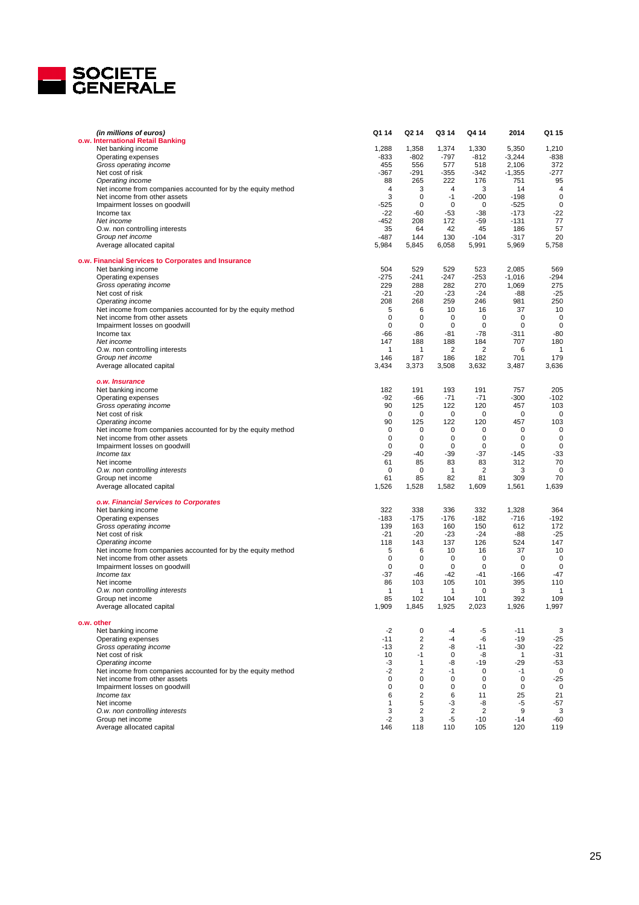

| (in millions of euros)                                       | Q1 14        | Q2 14          | Q3 14          | Q4 14          | 2014         | Q1 15       |
|--------------------------------------------------------------|--------------|----------------|----------------|----------------|--------------|-------------|
| o.w. International Retail Banking                            |              |                |                |                |              |             |
| Net banking income                                           | 1,288        | 1,358          | 1,374          | 1,330          | 5,350        | 1,210       |
| Operating expenses                                           | -833         | $-802$         | -797           | -812           | $-3,244$     | $-838$      |
| Gross operating income                                       | 455          | 556            | 577            | 518            | 2,106        | 372         |
| Net cost of risk                                             | -367         | $-291$         | $-355$         | -342           | $-1,355$     | -277        |
| Operating income                                             | 88           | 265            | 222            | 176            | 751          | 95          |
| Net income from companies accounted for by the equity method | 4            | 3              | 4              | 3              | 14           | 4           |
| Net income from other assets                                 | 3            | 0              | $-1$           | -200           | $-198$       | $\mathbf 0$ |
| Impairment losses on goodwill                                | -525         | 0              | 0              | 0              | $-525$       | $\mathbf 0$ |
| Income tax                                                   | $-22$        | -60            | -53            | $-38$          | $-173$       | $-22$       |
| Net income                                                   | -452         | 208            | 172            | -59            | $-131$       | 77          |
| O.w. non controlling interests                               | 35           | 64             | 42             | 45             | 186          | 57          |
| Group net income                                             | -487         | 144            | 130            |                | $-317$       | 20          |
|                                                              |              |                |                | $-104$         |              | 5,758       |
| Average allocated capital                                    | 5,984        | 5,845          | 6,058          | 5,991          | 5,969        |             |
| o.w. Financial Services to Corporates and Insurance          |              |                |                |                |              |             |
| Net banking income                                           | 504          | 529            | 529            | 523            | 2.085        | 569         |
| Operating expenses                                           | -275         | $-241$         | $-247$         | $-253$         | $-1,016$     | $-294$      |
| Gross operating income                                       | 229          | 288            | 282            | 270            | 1,069        | 275         |
| Net cost of risk                                             | $-21$        | $-20$          | $-23$          | $-24$          | $-88$        | $-25$       |
| Operating income                                             | 208          | 268            | 259            | 246            | 981          | 250         |
| Net income from companies accounted for by the equity method | 5            | 6              | 10             | 16             | 37           | 10          |
|                                                              | $\mathbf 0$  | 0              | 0              | 0              | 0            | 0           |
| Net income from other assets                                 | $\mathbf 0$  |                |                |                |              |             |
| Impairment losses on goodwill                                |              | 0              | 0              | $\mathbf 0$    | 0            | 0           |
| Income tax                                                   | -66          | $-86$          | $-81$          | $-78$          | $-311$       | $-80$       |
| Net income                                                   | 147          | 188            | 188            | 184            | 707          | 180         |
| O.w. non controlling interests                               | 1            | 1              | 2              | 2              | 6            | -1          |
| Group net income                                             | 146          | 187            | 186            | 182            | 701          | 179         |
| Average allocated capital                                    | 3,434        | 3,373          | 3,508          | 3,632          | 3,487        | 3,636       |
|                                                              |              |                |                |                |              |             |
| o.w. Insurance                                               |              | 191            |                |                | 757          |             |
| Net banking income                                           | 182          |                | 193            | 191            |              | 205         |
| Operating expenses                                           | -92          | $-66$          | $-71$          | $-71$          | $-300$       | $-102$      |
| Gross operating income                                       | 90           | 125            | 122            | 120            | 457          | 103         |
| Net cost of risk                                             | $\mathbf 0$  | 0              | 0              | 0              | 0            | 0           |
| Operating income                                             | 90           | 125            | 122            | 120            | 457          | 103         |
| Net income from companies accounted for by the equity method | $\mathbf 0$  | 0              | 0              | 0              | 0            | 0           |
| Net income from other assets                                 | 0            | 0              | 0              | 0              | 0            | 0           |
| Impairment losses on goodwill                                | $\mathbf 0$  | 0              | 0              | 0              | 0            | 0           |
| Income tax                                                   | $-29$        | -40            | -39            | $-37$          | $-145$       | $-33$       |
| Net income                                                   | 61           | 85             | 83             | 83             | 312          | 70          |
| O.w. non controlling interests                               | 0            | 0              | $\mathbf{1}$   | 2              | 3            | 0           |
| Group net income                                             | 61           | 85             | 82             | 81             | 309          | 70          |
| Average allocated capital                                    | 1,526        | 1,528          | 1,582          | 1,609          | 1,561        | 1,639       |
|                                                              |              |                |                |                |              |             |
| o.w. Financial Services to Corporates                        |              |                |                |                |              |             |
| Net banking income                                           | 322          | 338            | 336            | 332            | 1,328        | 364         |
| Operating expenses                                           | -183         | $-175$         | $-176$         | $-182$         | $-716$       | $-192$      |
| Gross operating income                                       | 139          | 163            | 160            | 150            | 612          | 172         |
| Net cost of risk                                             | $-21$        | $-20$          | $-23$          | $-24$          | $-88$        | $-25$       |
| Operating income                                             | 118          | 143            | 137            | 126            | 524          | 147         |
| Net income from companies accounted for by the equity method | 5            | 6              | 10             | 16             | 37           | 10          |
| Net income from other assets                                 | $\mathbf 0$  | 0              | $\mathbf 0$    | 0              | 0            | 0           |
| Impairment losses on goodwill                                | 0            | 0              | 0              | 0              | 0            | 0           |
| Income tax                                                   | $-37$        | $-46$          | -42            | $-41$          | $-166$       | $-47$       |
| Net income                                                   | 86           | 103            | 105            | 101            | 395          | 110         |
| O.w. non controlling interests                               | 1            | 1              | 1              | 0              | 3            | 1           |
| Group net income                                             | 85           | 102            | 104            | 101            | 392          | 109         |
| Average allocated capital                                    | 1,909        | 1,845          | 1,925          | 2,023          | 1,926        | 1,997       |
|                                                              |              |                |                |                |              |             |
| o.w. other                                                   |              |                |                |                |              |             |
| Net banking income                                           | $-2$         | 0              | $-4$           | -5             | $-11$        | 3           |
| Operating expenses                                           | $-11$        | 2              | $-4$           | -6             | $-19$        | $-25$       |
| Gross operating income                                       | -13          | $\overline{2}$ | -8             | $-11$          | $-30$        | $-22$       |
| Net cost of risk                                             | 10           | $-1$           | 0              | -8             | $\mathbf{1}$ | $-31$       |
| Operating income                                             | -3           | 1              | -8             | -19            | -29          | -53         |
| Net income from companies accounted for by the equity method | $-2$         | 2              | $-1$           | 0              | $-1$         | 0           |
| Net income from other assets                                 | $\mathbf 0$  | 0              | 0              | 0              | $\mathbf 0$  | $-25$       |
| Impairment losses on goodwill                                | $\mathbf 0$  | 0              | 0              | 0              | 0            | 0           |
| Income tax                                                   | 6            | $\overline{2}$ | 6              | 11             | 25           | 21          |
| Net income                                                   | $\mathbf{1}$ | 5              | -3             | -8             | -5           | $-57$       |
| O.w. non controlling interests                               | 3            | 2              | $\overline{2}$ | $\overline{2}$ | 9            | 3           |
| Group net income                                             | $-2$         | 3              | -5             | $-10$          | $-14$        | $-60$       |
| Average allocated capital                                    | 146          | 118            | 110            | 105            | 120          | 119         |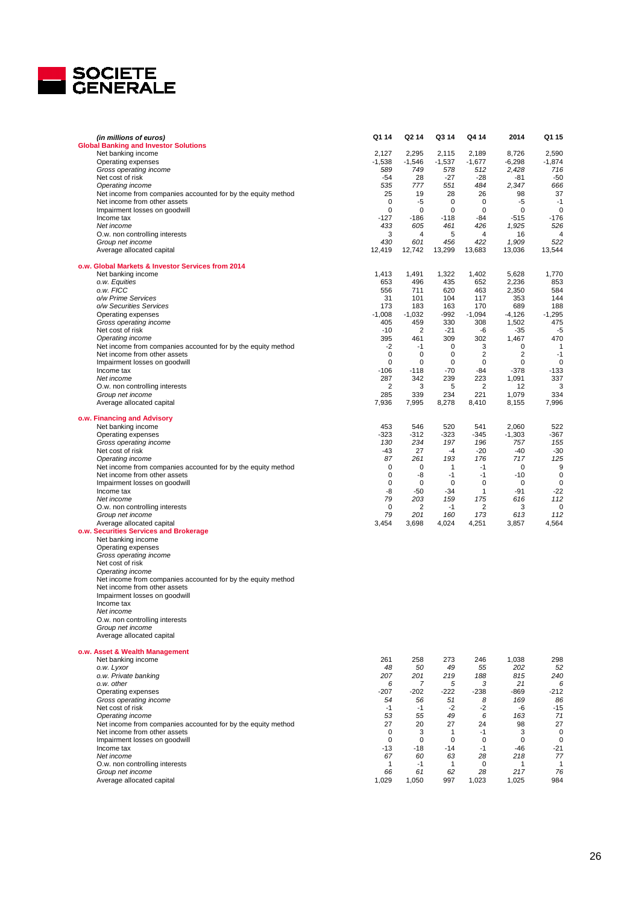

| (in millions of euros)<br><b>Global Banking and Investor Solutions</b> | Q1 14             | Q2 14          | Q3 14        | Q4 14          | 2014           | Q1 15          |
|------------------------------------------------------------------------|-------------------|----------------|--------------|----------------|----------------|----------------|
| Net banking income                                                     | 2,127             | 2,295          | 2,115        | 2,189          | 8,726          | 2,590          |
| Operating expenses                                                     | $-1,538$          | $-1,546$       | $-1,537$     | $-1,677$       | $-6,298$       | $-1,874$       |
| Gross operating income                                                 | 589               | 749            | 578          | 512            | 2,428          | 716            |
| Net cost of risk                                                       | -54               | 28             | $-27$        | $-28$          | -81            | $-50$          |
| Operating income                                                       | 535               | 777            | 551          | 484            | 2,347          | 666            |
| Net income from companies accounted for by the equity method           | 25                | 19             | 28           | 26             | 98             | 37             |
| Net income from other assets                                           | $\mathbf 0$       | -5             | $\mathbf 0$  | 0              | -5             | $-1$           |
| Impairment losses on goodwill                                          | $\Omega$          | $\mathbf 0$    | 0            | 0              | $\Omega$       | $\mathbf 0$    |
| Income tax                                                             | -127              | $-186$         | $-118$       | -84            | $-515$         | $-176$         |
| Net income                                                             | 433               | 605            | 461          | 426            | 1,925          | 526            |
| O.w. non controlling interests                                         | 3                 | $\overline{4}$ | 5            | 4              | 16             | $\overline{4}$ |
| Group net income                                                       | 430               | 601            | 456          | 422            | 1,909          | 522            |
| Average allocated capital                                              | 12,419            | 12,742         | 13,299       | 13,683         | 13,036         | 13,544         |
| o.w. Global Markets & Investor Services from 2014                      |                   |                |              |                |                |                |
| Net banking income                                                     | 1,413             | 1,491          | 1,322        | 1,402          | 5,628          | 1,770          |
| o.w. Equities                                                          | 653               | 496            | 435          | 652            | 2,236          | 853            |
| o.w. FICC                                                              | 556               | 711            | 620          | 463            | 2,350          | 584            |
| o/w Prime Services                                                     | 31                | 101            | 104          | 117            | 353            | 144            |
| o/w Securities Services                                                | 173               | 183            | 163          | 170            | 689            | 188            |
| Operating expenses                                                     | $-1,008$          | $-1,032$       | -992         | $-1,094$       | $-4,126$       | $-1,295$       |
| Gross operating income                                                 | 405               | 459            | 330          | 308            | 1,502          | 475            |
| Net cost of risk                                                       | $-10$             | 2              | -21          | -6             | -35            | -5             |
| Operating income                                                       | 395               | 461            | 309          | 302            | 1,467          | 470            |
| Net income from companies accounted for by the equity method           | $-2$              | $-1$           | 0            | 3              | 0              | $\mathbf{1}$   |
| Net income from other assets                                           | $\mathbf 0$       | $\mathbf 0$    | 0            | $\overline{2}$ | $\overline{2}$ | $-1$           |
| Impairment losses on goodwill                                          | 0                 | 0              | $\mathbf 0$  | 0              | 0              | $\mathbf 0$    |
| Income tax                                                             | $-106$            | $-118$         | $-70$        | -84            | $-378$         | $-133$         |
| Net income                                                             | 287               | 342            | 239          | 223            | 1,091          | 337            |
| O.w. non controlling interests                                         | 2                 | 3              | 5            | 2              | 12             | 3              |
| Group net income                                                       | 285               | 339            | 234          | 221            | 1,079          | 334            |
| Average allocated capital                                              | 7,936             | 7,995          | 8,278        | 8,410          | 8,155          | 7,996          |
| o.w. Financing and Advisory                                            |                   |                |              |                |                |                |
| Net banking income                                                     | 453               | 546            | 520          | 541            | 2,060          | 522            |
| Operating expenses                                                     | -323              | -312           | $-323$       | $-345$         | $-1.303$       | -367           |
| Gross operating income                                                 | 130               | 234            | 197          | 196            | 757            | 155            |
| Net cost of risk                                                       | -43               | 27             | $-4$         | $-20$          | $-40$          | $-30$          |
| Operating income                                                       | 87                | 261            | 193          | 176            | 717            | 125            |
| Net income from companies accounted for by the equity method           | 0                 | 0              | $\mathbf{1}$ | $-1$           | 0              | 9              |
| Net income from other assets                                           | 0                 | -8             | $-1$         | $-1$           | $-10$          | $\mathbf 0$    |
| Impairment losses on goodwill                                          | $\mathbf 0$       | $\mathbf 0$    | $\mathbf 0$  | $\mathbf 0$    | 0              | $\mathbf 0$    |
| Income tax                                                             | -8                | -50            | -34          | $\mathbf{1}$   | $-91$          | $-22$          |
| Net income                                                             | 79<br>$\mathbf 0$ | 203            | 159<br>$-1$  | 175            | 616            | 112            |
| O.w. non controlling interests                                         | 79                | 2<br>201       | 160          | 2<br>173       | 3<br>613       | 0<br>112       |
| Group net income<br>Average allocated capital                          | 3,454             | 3,698          | 4,024        | 4,251          | 3,857          | 4,564          |
| o.w. Securities Services and Brokerage                                 |                   |                |              |                |                |                |
| Net banking income                                                     |                   |                |              |                |                |                |
| Operating expenses                                                     |                   |                |              |                |                |                |
| Gross operating income                                                 |                   |                |              |                |                |                |
| Net cost of risk                                                       |                   |                |              |                |                |                |
| Operating income                                                       |                   |                |              |                |                |                |
| Net income from companies accounted for by the equity method           |                   |                |              |                |                |                |
| Net income from other assets                                           |                   |                |              |                |                |                |
| Impairment losses on goodwill                                          |                   |                |              |                |                |                |
| Income tax                                                             |                   |                |              |                |                |                |
| Net income                                                             |                   |                |              |                |                |                |
| O.w. non controlling interests                                         |                   |                |              |                |                |                |
| Group net income                                                       |                   |                |              |                |                |                |
| Average allocated capital                                              |                   |                |              |                |                |                |
| o.w. Asset & Wealth Management                                         |                   |                |              |                |                |                |
| Net banking income                                                     | 261               | 258            | 273          | 246            | 1,038          | 298            |
| o.w. Lyxor                                                             | 48                | 50             | 49           | 55             | 202            | 52             |
| o.w. Private banking                                                   | 207               | 201            | 219          | 188            | 815            | 240            |
| o.w. other                                                             | 6                 | 7              | 5            | 3              | 21             | 6              |
| Operating expenses                                                     | -207              | $-202$         | -222         | $-238$         | $-869$         | -212           |
| Gross operating income                                                 | 54                | 56             | 51           | 8              | 169            | 86             |
| Net cost of risk                                                       | $-1$              | $-1$           | -2           | -2             | -6             | -15            |
| Operating income                                                       | 53                | 55             | 49           | 6              | 163            | 71             |
| Net income from companies accounted for by the equity method           | 27                | 20             | 27           | 24             | 98             | 27             |
| Net income from other assets                                           | 0                 | 3              | 1            | $-1$           | 3              | 0              |
| Impairment losses on goodwill                                          | $\mathbf 0$       | $\mathbf 0$    | $\Omega$     | $\mathbf 0$    | 0              | 0              |
| Income tax                                                             | $-13$             | $-18$          | $-14$        | $-1$           | $-46$          | -21            |
| Net income                                                             | 67                | 60             | 63           | 28             | 218            | 77             |
| O.w. non controlling interests                                         | $\mathbf{1}$      | $-1$           | $\mathbf{1}$ | 0              | 1              | $\overline{1}$ |
| Group net income                                                       | 66                | 61             | 62           | 28             | 217            | 76             |
| Average allocated capital                                              | 1,029             | 1,050          | 997          | 1,023          | 1,025          | 984            |